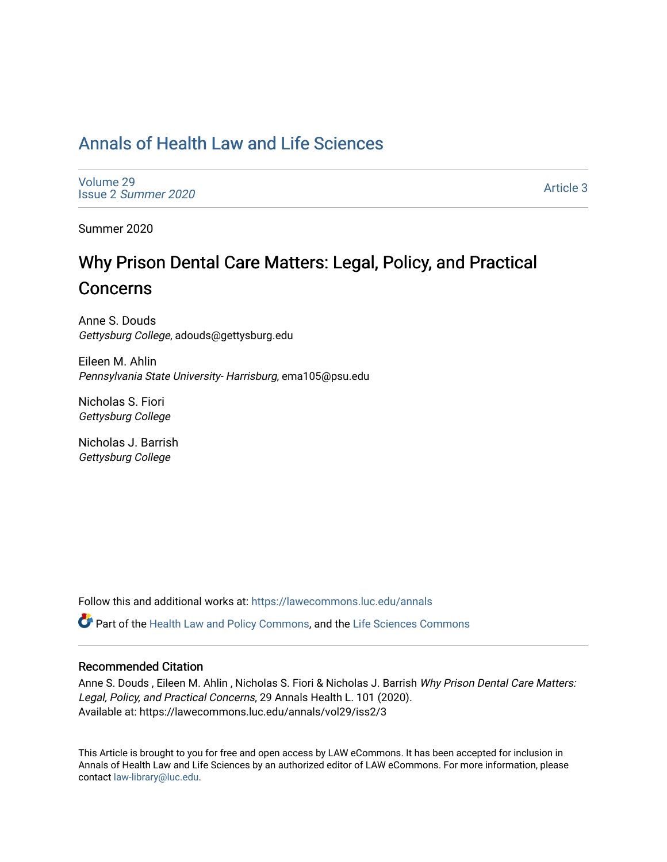# [Annals of Health Law and Life Sciences](https://lawecommons.luc.edu/annals)

[Volume 29](https://lawecommons.luc.edu/annals/vol29) Issue 2 [Summer 2020](https://lawecommons.luc.edu/annals/vol29/iss2) 

[Article 3](https://lawecommons.luc.edu/annals/vol29/iss2/3) 

Summer 2020

# Why Prison Dental Care Matters: Legal, Policy, and Practical **Concerns**

Anne S. Douds Gettysburg College, adouds@gettysburg.edu

Eileen M. Ahlin Pennsylvania State University- Harrisburg, ema105@psu.edu

Nicholas S. Fiori Gettysburg College

Nicholas J. Barrish Gettysburg College

Follow this and additional works at: [https://lawecommons.luc.edu/annals](https://lawecommons.luc.edu/annals?utm_source=lawecommons.luc.edu%2Fannals%2Fvol29%2Fiss2%2F3&utm_medium=PDF&utm_campaign=PDFCoverPages)

Part of the [Health Law and Policy Commons](http://network.bepress.com/hgg/discipline/901?utm_source=lawecommons.luc.edu%2Fannals%2Fvol29%2Fiss2%2F3&utm_medium=PDF&utm_campaign=PDFCoverPages), and the [Life Sciences Commons](http://network.bepress.com/hgg/discipline/1016?utm_source=lawecommons.luc.edu%2Fannals%2Fvol29%2Fiss2%2F3&utm_medium=PDF&utm_campaign=PDFCoverPages) 

### Recommended Citation

Anne S. Douds, Eileen M. Ahlin, Nicholas S. Fiori & Nicholas J. Barrish Why Prison Dental Care Matters: Legal, Policy, and Practical Concerns, 29 Annals Health L. 101 (2020). Available at: https://lawecommons.luc.edu/annals/vol29/iss2/3

This Article is brought to you for free and open access by LAW eCommons. It has been accepted for inclusion in Annals of Health Law and Life Sciences by an authorized editor of LAW eCommons. For more information, please contact [law-library@luc.edu.](mailto:law-library@luc.edu)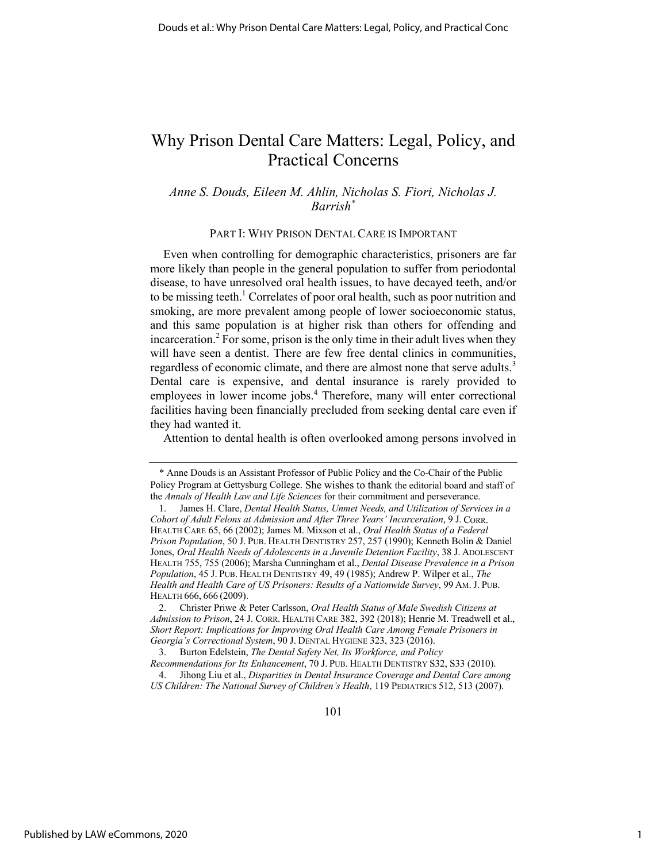## Why Prison Dental Care Matters: Legal, Policy, and Practical Concerns

### *Anne S. Douds, Eileen M. Ahlin, Nicholas S. Fiori, Nicholas J. Barrish\**

#### PART I: WHY PRISON DENTAL CARE IS IMPORTANT

Even when controlling for demographic characteristics, prisoners are far more likely than people in the general population to suffer from periodontal disease, to have unresolved oral health issues, to have decayed teeth, and/or to be missing teeth.<sup>1</sup> Correlates of poor oral health, such as poor nutrition and smoking, are more prevalent among people of lower socioeconomic status, and this same population is at higher risk than others for offending and incarceration.<sup>2</sup> For some, prison is the only time in their adult lives when they will have seen a dentist. There are few free dental clinics in communities, regardless of economic climate, and there are almost none that serve adults.<sup>3</sup> Dental care is expensive, and dental insurance is rarely provided to employees in lower income jobs.<sup>4</sup> Therefore, many will enter correctional facilities having been financially precluded from seeking dental care even if they had wanted it.

Attention to dental health is often overlooked among persons involved in

3. Burton Edelstein, *The Dental Safety Net, Its Workforce, and Policy Recommendations for Its Enhancement*, 70 J. PUB. HEALTH DENTISTRY S32, S33 (2010).

 <sup>\*</sup> Anne Douds is an Assistant Professor of Public Policy and the Co-Chair of the Public Policy Program at Gettysburg College. She wishes to thank the editorial board and staff of the *Annals of Health Law and Life Sciences* for their commitment and perseverance.

<sup>1.</sup> James H. Clare, *Dental Health Status, Unmet Needs, and Utilization of Services in a Cohort of Adult Felons at Admission and After Three Years' Incarceration*, 9 J. CORR. HEALTH CARE 65, 66 (2002); James M. Mixson et al., *Oral Health Status of a Federal Prison Population*, 50 J. PUB. HEALTH DENTISTRY 257, 257 (1990); Kenneth Bolin & Daniel Jones, *Oral Health Needs of Adolescents in a Juvenile Detention Facility*, 38 J. ADOLESCENT HEALTH 755, 755 (2006); Marsha Cunningham et al., *Dental Disease Prevalence in a Prison Population*, 45 J. PUB. HEALTH DENTISTRY 49, 49 (1985); Andrew P. Wilper et al., *The Health and Health Care of US Prisoners: Results of a Nationwide Survey*, 99 AM.J. PUB. HEALTH 666, 666 (2009).

<sup>2.</sup> Christer Priwe & Peter Carlsson, *Oral Health Status of Male Swedish Citizens at Admission to Prison*, 24 J. CORR. HEALTH CARE 382, 392 (2018); Henrie M. Treadwell et al., *Short Report: Implications for Improving Oral Health Care Among Female Prisoners in Georgia's Correctional System*, 90 J. DENTAL HYGIENE 323, 323 (2016).

<sup>4.</sup> Jihong Liu et al., *Disparities in Dental Insurance Coverage and Dental Care among US Children: The National Survey of Children's Health*, 119 PEDIATRICS 512, 513 (2007).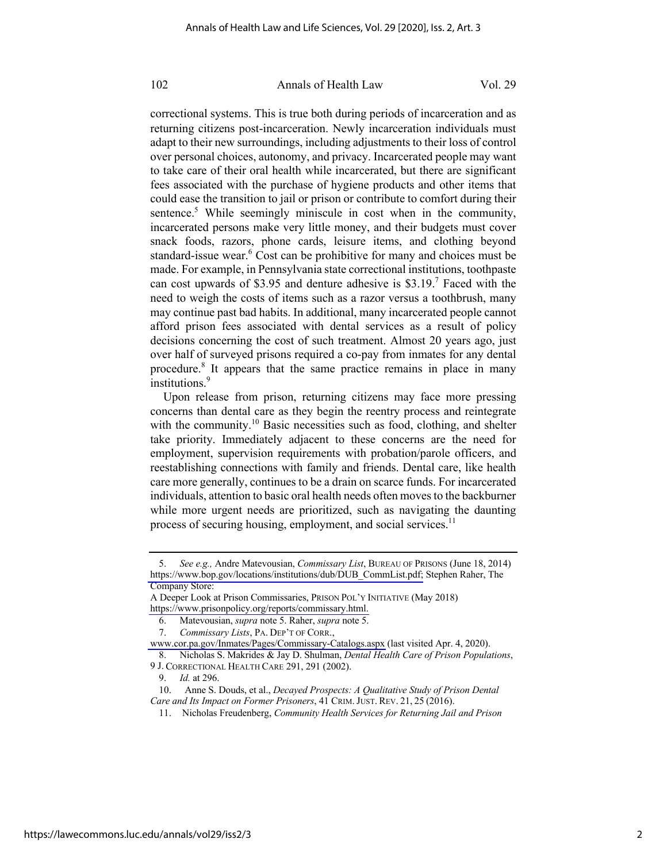correctional systems. This is true both during periods of incarceration and as returning citizens post-incarceration. Newly incarceration individuals must adapt to their new surroundings, including adjustments to their loss of control over personal choices, autonomy, and privacy. Incarcerated people may want to take care of their oral health while incarcerated, but there are significant fees associated with the purchase of hygiene products and other items that could ease the transition to jail or prison or contribute to comfort during their sentence.<sup>5</sup> While seemingly miniscule in cost when in the community, incarcerated persons make very little money, and their budgets must cover snack foods, razors, phone cards, leisure items, and clothing beyond standard-issue wear.<sup>6</sup> Cost can be prohibitive for many and choices must be made. For example, in Pennsylvania state correctional institutions, toothpaste can cost upwards of \$3.95 and denture adhesive is  $$3.19$ .<sup>7</sup> Faced with the need to weigh the costs of items such as a razor versus a toothbrush, many may continue past bad habits. In additional, many incarcerated people cannot afford prison fees associated with dental services as a result of policy decisions concerning the cost of such treatment. Almost 20 years ago, just over half of surveyed prisons required a co-pay from inmates for any dental procedure.<sup>8</sup> It appears that the same practice remains in place in many institutions.<sup>9</sup>

Upon release from prison, returning citizens may face more pressing concerns than dental care as they begin the reentry process and reintegrate with the community.<sup>10</sup> Basic necessities such as food, clothing, and shelter take priority. Immediately adjacent to these concerns are the need for employment, supervision requirements with probation/parole officers, and reestablishing connections with family and friends. Dental care, like health care more generally, continues to be a drain on scarce funds. For incarcerated individuals, attention to basic oral health needs often moves to the backburner while more urgent needs are prioritized, such as navigating the daunting process of securing housing, employment, and social services.<sup>11</sup>

<sup>5.</sup> *See e.g.,* Andre Matevousian, *Commissary List*, BUREAU OF PRISONS (June 18, 2014) [https://www.bop.gov/locations/institutions/dub/DUB\\_CommList.pdf;](https://www.bop.gov/locations/institutions/dub/DUB_CommList.pdf) Stephen Raher, The Company Store:

A Deeper Look at Prison Commissaries, PRISON POL'Y INITIATIVE (May 2018) [https://www.prisonpolicy.org/reports/commissary.html.](https://www.prisonpolicy.org/reports/commissary.html) 

<sup>6.</sup> Matevousian, *supra* note 5. Raher, *supra* note 5.

<sup>7.</sup> *Commissary Lists*, PA. DEP'T OF CORR.,

[www.cor.pa.gov/Inmates/Pages/Commissary-Catalogs.aspx](http://www.cor.pa.gov/Inmates/Pages/Commissary-Catalogs.aspx) (last visited Apr. 4, 2020).

<sup>8.</sup> Nicholas S. Makrides & Jay D. Shulman, *Dental Health Care of Prison Populations*, 9 J. CORRECTIONAL HEALTH CARE 291, 291 (2002).

<sup>9.</sup> *Id.* at 296.

<sup>10.</sup> Anne S. Douds, et al., *Decayed Prospects: A Qualitative Study of Prison Dental Care and Its Impact on Former Prisoners*, 41 CRIM.JUST. REV. 21, 25 (2016).

<sup>11.</sup> Nicholas Freudenberg, *Community Health Services for Returning Jail and Prison*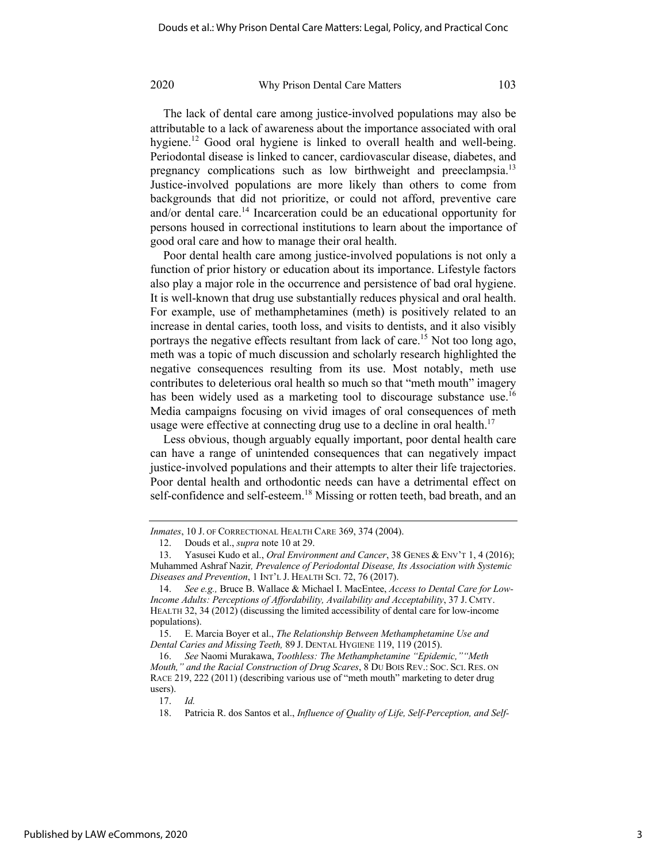The lack of dental care among justice-involved populations may also be attributable to a lack of awareness about the importance associated with oral hygiene.<sup>12</sup> Good oral hygiene is linked to overall health and well-being. Periodontal disease is linked to cancer, cardiovascular disease, diabetes, and pregnancy complications such as low birthweight and preeclampsia.<sup>13</sup> Justice-involved populations are more likely than others to come from backgrounds that did not prioritize, or could not afford, preventive care and/or dental care.<sup>14</sup> Incarceration could be an educational opportunity for persons housed in correctional institutions to learn about the importance of good oral care and how to manage their oral health.

Poor dental health care among justice-involved populations is not only a function of prior history or education about its importance. Lifestyle factors also play a major role in the occurrence and persistence of bad oral hygiene. It is well-known that drug use substantially reduces physical and oral health. For example, use of methamphetamines (meth) is positively related to an increase in dental caries, tooth loss, and visits to dentists, and it also visibly portrays the negative effects resultant from lack of care.<sup>15</sup> Not too long ago, meth was a topic of much discussion and scholarly research highlighted the negative consequences resulting from its use. Most notably, meth use contributes to deleterious oral health so much so that "meth mouth" imagery has been widely used as a marketing tool to discourage substance use.<sup>16</sup> Media campaigns focusing on vivid images of oral consequences of meth usage were effective at connecting drug use to a decline in oral health.<sup>17</sup>

Less obvious, though arguably equally important, poor dental health care can have a range of unintended consequences that can negatively impact justice-involved populations and their attempts to alter their life trajectories. Poor dental health and orthodontic needs can have a detrimental effect on self-confidence and self-esteem.<sup>18</sup> Missing or rotten teeth, bad breath, and an

17. *Id.*

*Inmates*, 10 J. OF CORRECTIONAL HEALTH CARE 369, 374 (2004).

<sup>12.</sup> Douds et al., *supra* note 10 at 29.

<sup>13.</sup> Yasusei Kudo et al., *Oral Environment and Cancer*, 38 GENES & ENV'T 1, 4 (2016); Muhammed Ashraf Nazir*, Prevalence of Periodontal Disease, Its Association with Systemic Diseases and Prevention*, 1 INT'L J. HEALTH SCI. 72, 76 (2017).

<sup>14.</sup> *See e.g.,* Bruce B. Wallace & Michael I. MacEntee, *Access to Dental Care for Low-Income Adults: Perceptions of Affordability, Availability and Acceptability*, 37 J. CMTY. HEALTH 32, 34 (2012) (discussing the limited accessibility of dental care for low-income populations).

<sup>15.</sup> E. Marcia Boyer et al., *The Relationship Between Methamphetamine Use and Dental Caries and Missing Teeth,* 89 J. DENTAL HYGIENE 119, 119 (2015).

<sup>16.</sup> *See* Naomi Murakawa, *Toothless: The Methamphetamine "Epidemic,""Meth Mouth," and the Racial Construction of Drug Scares*, 8 DU BOIS REV.: SOC. SCI. RES. ON RACE 219, 222 (2011) (describing various use of "meth mouth" marketing to deter drug users).

<sup>18.</sup> Patricia R. dos Santos et al., *Influence of Quality of Life, Self-Perception, and Self-*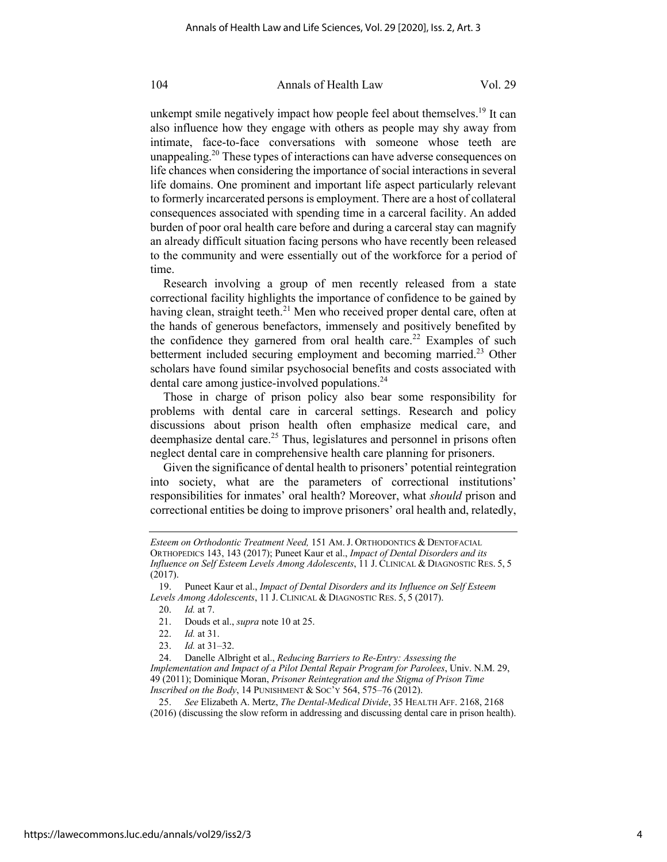unkempt smile negatively impact how people feel about themselves.<sup>19</sup> It can also influence how they engage with others as people may shy away from intimate, face-to-face conversations with someone whose teeth are unappealing.<sup>20</sup> These types of interactions can have adverse consequences on life chances when considering the importance of social interactions in several life domains. One prominent and important life aspect particularly relevant to formerly incarcerated persons is employment. There are a host of collateral consequences associated with spending time in a carceral facility. An added burden of poor oral health care before and during a carceral stay can magnify an already difficult situation facing persons who have recently been released to the community and were essentially out of the workforce for a period of time.

Research involving a group of men recently released from a state correctional facility highlights the importance of confidence to be gained by having clean, straight teeth.<sup>21</sup> Men who received proper dental care, often at the hands of generous benefactors, immensely and positively benefited by the confidence they garnered from oral health care.<sup>22</sup> Examples of such betterment included securing employment and becoming married.<sup>23</sup> Other scholars have found similar psychosocial benefits and costs associated with dental care among justice-involved populations.<sup>24</sup>

Those in charge of prison policy also bear some responsibility for problems with dental care in carceral settings. Research and policy discussions about prison health often emphasize medical care, and deemphasize dental care.<sup>25</sup> Thus, legislatures and personnel in prisons often neglect dental care in comprehensive health care planning for prisoners.

Given the significance of dental health to prisoners' potential reintegration into society, what are the parameters of correctional institutions' responsibilities for inmates' oral health? Moreover, what *should* prison and correctional entities be doing to improve prisoners' oral health and, relatedly,

25. *See* Elizabeth A. Mertz, *The Dental-Medical Divide*, 35 HEALTH AFF. 2168, 2168 (2016) (discussing the slow reform in addressing and discussing dental care in prison health).

*Esteem on Orthodontic Treatment Need,* 151 AM.J. ORTHODONTICS & DENTOFACIAL ORTHOPEDICS 143, 143 (2017); Puneet Kaur et al., *Impact of Dental Disorders and its Influence on Self Esteem Levels Among Adolescents*, 11 J. CLINICAL & DIAGNOSTIC RES. 5, 5 (2017).

<sup>19.</sup> Puneet Kaur et al., *Impact of Dental Disorders and its Influence on Self Esteem Levels Among Adolescents*, 11 J. CLINICAL & DIAGNOSTIC RES. 5, 5 (2017).

<sup>20.</sup> *Id.* at 7.

<sup>21.</sup> Douds et al., *supra* note 10 at 25.

<sup>22.</sup> *Id.* at 31.

<sup>23.</sup> *Id.* at 31–32.

<sup>24.</sup> Danelle Albright et al., *Reducing Barriers to Re-Entry: Assessing the Implementation and Impact of a Pilot Dental Repair Program for Parolees*, Univ. N.M. 29, 49 (2011); Dominique Moran, *Prisoner Reintegration and the Stigma of Prison Time Inscribed on the Body*, 14 PUNISHMENT & SOC'Y 564, 575–76 (2012).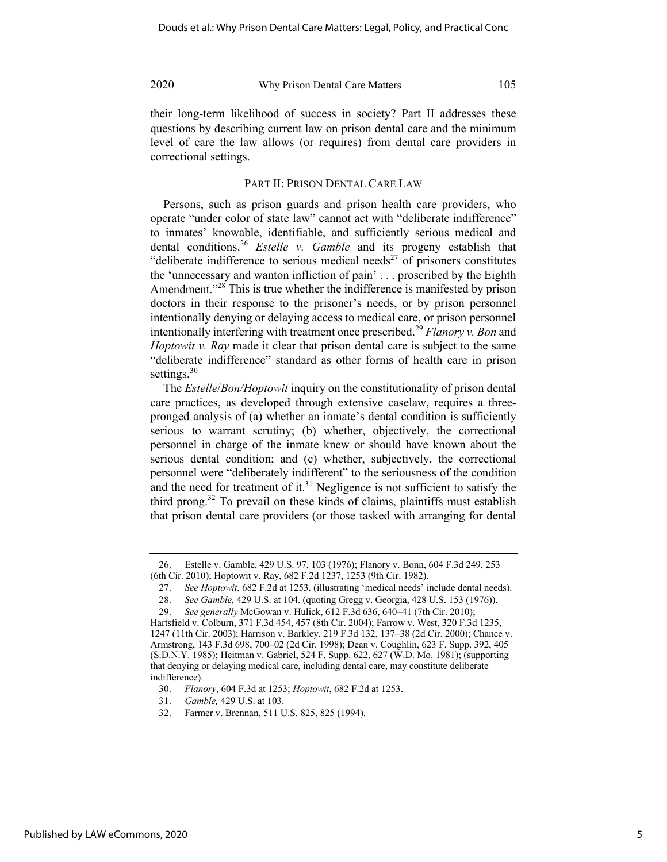their long-term likelihood of success in society? Part II addresses these questions by describing current law on prison dental care and the minimum level of care the law allows (or requires) from dental care providers in correctional settings.

#### PART II: PRISON DENTAL CARE LAW

Persons, such as prison guards and prison health care providers, who operate "under color of state law" cannot act with "deliberate indifference" to inmates' knowable, identifiable, and sufficiently serious medical and dental conditions.26 *Estelle v. Gamble* and its progeny establish that "deliberate indifference to serious medical needs<sup>27</sup> of prisoners constitutes the 'unnecessary and wanton infliction of pain' . . . proscribed by the Eighth Amendment."<sup>28</sup> This is true whether the indifference is manifested by prison doctors in their response to the prisoner's needs, or by prison personnel intentionally denying or delaying access to medical care, or prison personnel intentionally interfering with treatment once prescribed.<sup>29</sup> *Flanory v. Bon* and *Hoptowit v. Ray* made it clear that prison dental care is subject to the same "deliberate indifference" standard as other forms of health care in prison settings.<sup>30</sup>

The *Estelle*/*Bon/Hoptowit* inquiry on the constitutionality of prison dental care practices, as developed through extensive caselaw, requires a threepronged analysis of (a) whether an inmate's dental condition is sufficiently serious to warrant scrutiny; (b) whether, objectively, the correctional personnel in charge of the inmate knew or should have known about the serious dental condition; and (c) whether, subjectively, the correctional personnel were "deliberately indifferent" to the seriousness of the condition and the need for treatment of it.<sup>31</sup> Negligence is not sufficient to satisfy the third prong.<sup>32</sup> To prevail on these kinds of claims, plaintiffs must establish that prison dental care providers (or those tasked with arranging for dental

<sup>26.</sup> Estelle v. Gamble, 429 U.S. 97, 103 (1976); Flanory v. Bonn, 604 F.3d 249, 253 (6th Cir. 2010); Hoptowit v. Ray, 682 F.2d 1237, 1253 (9th Cir. 1982).

<sup>27.</sup> *See Hoptowit*, 682 F.2d at 1253. (illustrating 'medical needs' include dental needs).

<sup>28.</sup> *See Gamble,* 429 U.S. at 104. (quoting Gregg v. Georgia, 428 U.S. 153 (1976)).

<sup>29.</sup> *See generally* McGowan v. Hulick, 612 F.3d 636, 640–41 (7th Cir. 2010);

Hartsfield v. Colburn, 371 F.3d 454, 457 (8th Cir. 2004); Farrow v. West, 320 F.3d 1235, 1247 (11th Cir. 2003); Harrison v. Barkley, 219 F.3d 132, 137–38 (2d Cir. 2000); Chance v. Armstrong, 143 F.3d 698, 700–02 (2d Cir. 1998); Dean v. Coughlin, 623 F. Supp. 392, 405 (S.D.N.Y. 1985); Heitman v. Gabriel, 524 F. Supp. 622, 627 (W.D. Mo. 1981); (supporting that denying or delaying medical care, including dental care, may constitute deliberate indifference).

<sup>30.</sup> *Flanory*, 604 F.3d at 1253; *Hoptowit*, 682 F.2d at 1253.

<sup>31.</sup> *Gamble,* 429 U.S. at 103.

<sup>32.</sup> Farmer v. Brennan, 511 U.S. 825, 825 (1994).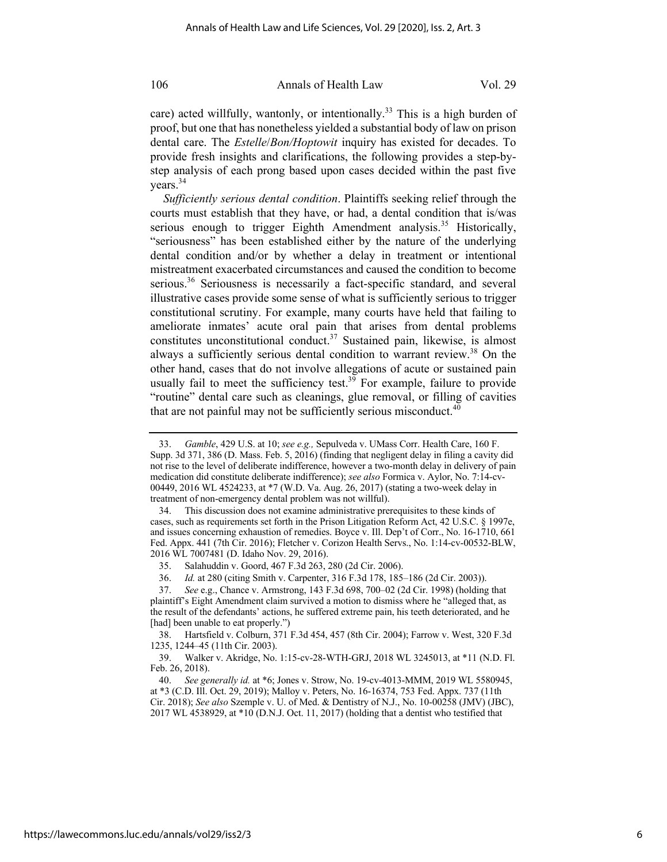care) acted willfully, wantonly, or intentionally.<sup>33</sup> This is a high burden of proof, but one that has nonetheless yielded a substantial body of law on prison dental care. The *Estelle*/*Bon/Hoptowit* inquiry has existed for decades. To provide fresh insights and clarifications, the following provides a step-bystep analysis of each prong based upon cases decided within the past five years.<sup>34</sup>

*Sufficiently serious dental condition*. Plaintiffs seeking relief through the courts must establish that they have, or had, a dental condition that is/was serious enough to trigger Eighth Amendment analysis.<sup>35</sup> Historically, "seriousness" has been established either by the nature of the underlying dental condition and/or by whether a delay in treatment or intentional mistreatment exacerbated circumstances and caused the condition to become serious.<sup>36</sup> Seriousness is necessarily a fact-specific standard, and several illustrative cases provide some sense of what is sufficiently serious to trigger constitutional scrutiny. For example, many courts have held that failing to ameliorate inmates' acute oral pain that arises from dental problems constitutes unconstitutional conduct.<sup>37</sup> Sustained pain, likewise, is almost always a sufficiently serious dental condition to warrant review.<sup>38</sup> On the other hand, cases that do not involve allegations of acute or sustained pain usually fail to meet the sufficiency test.<sup>39</sup> For example, failure to provide "routine" dental care such as cleanings, glue removal, or filling of cavities that are not painful may not be sufficiently serious misconduct.<sup>40</sup>

<sup>33.</sup> *Gamble*, 429 U.S. at 10; *see e.g.,* Sepulveda v. UMass Corr. Health Care, 160 F. Supp. 3d 371, 386 (D. Mass. Feb. 5, 2016) (finding that negligent delay in filing a cavity did not rise to the level of deliberate indifference, however a two-month delay in delivery of pain medication did constitute deliberate indifference); *see also* Formica v. Aylor, No. 7:14-cv-00449, 2016 WL 4524233, at \*7 (W.D. Va. Aug. 26, 2017) (stating a two-week delay in treatment of non-emergency dental problem was not willful).

<sup>34.</sup> This discussion does not examine administrative prerequisites to these kinds of cases, such as requirements set forth in the Prison Litigation Reform Act, 42 U.S.C. § 1997e, and issues concerning exhaustion of remedies. Boyce v. Ill. Dep't of Corr., No. 16-1710, 661 Fed. Appx. 441 (7th Cir. 2016); Fletcher v. Corizon Health Servs., No. 1:14-cv-00532-BLW, 2016 WL 7007481 (D. Idaho Nov. 29, 2016).

<sup>35.</sup> Salahuddin v. Goord, 467 F.3d 263, 280 (2d Cir. 2006).

<sup>36.</sup> *Id.* at 280 (citing Smith v. Carpenter, 316 F.3d 178, 185–186 (2d Cir. 2003)).

<sup>37.</sup> *See* e.g., Chance v. Armstrong, 143 F.3d 698, 700–02 (2d Cir. 1998) (holding that plaintiff's Eight Amendment claim survived a motion to dismiss where he "alleged that, as the result of the defendants' actions, he suffered extreme pain, his teeth deteriorated, and he [had] been unable to eat properly.")

<sup>38.</sup> Hartsfield v. Colburn, 371 F.3d 454, 457 (8th Cir. 2004); Farrow v. West, 320 F.3d 1235, 1244–45 (11th Cir. 2003).

<sup>39.</sup> Walker v. Akridge, No. 1:15-cv-28-WTH-GRJ, 2018 WL 3245013, at \*11 (N.D. Fl. Feb. 26, 2018).

<sup>40.</sup> *See generally id.* at \*6; Jones v. Strow, No. 19-cv-4013-MMM, 2019 WL 5580945, at \*3 (C.D. Ill. Oct. 29, 2019); Malloy v. Peters, No. 16-16374, 753 Fed. Appx. 737 (11th Cir. 2018); *See also* Szemple v. U. of Med. & Dentistry of N.J., No. 10-00258 (JMV) (JBC), 2017 WL 4538929, at \*10 (D.N.J. Oct. 11, 2017) (holding that a dentist who testified that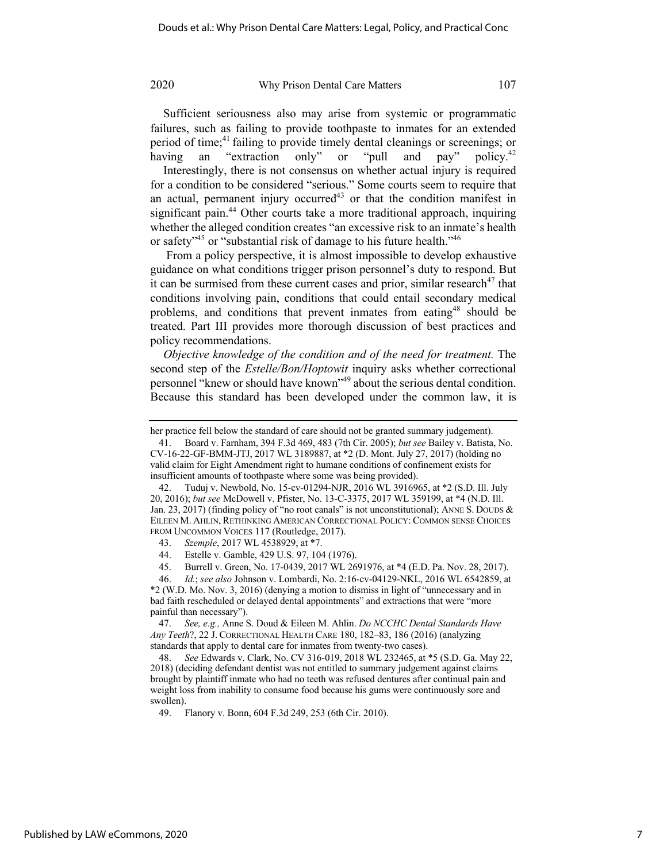Sufficient seriousness also may arise from systemic or programmatic failures, such as failing to provide toothpaste to inmates for an extended period of time;<sup>41</sup> failing to provide timely dental cleanings or screenings; or having an "extraction only" or "pull and pay" policy.<sup>42</sup> having an "extraction only" or "pull and pay" policy.<sup>42</sup>

Interestingly, there is not consensus on whether actual injury is required for a condition to be considered "serious." Some courts seem to require that an actual, permanent injury occurred<sup>43</sup> or that the condition manifest in significant pain.<sup>44</sup> Other courts take a more traditional approach, inquiring whether the alleged condition creates "an excessive risk to an inmate's health or safety<sup>345</sup> or "substantial risk of damage to his future health."<sup>46</sup>

From a policy perspective, it is almost impossible to develop exhaustive guidance on what conditions trigger prison personnel's duty to respond. But it can be surmised from these current cases and prior, similar research<sup>47</sup> that conditions involving pain, conditions that could entail secondary medical problems, and conditions that prevent inmates from eating<sup>48</sup> should be treated. Part III provides more thorough discussion of best practices and policy recommendations.

*Objective knowledge of the condition and of the need for treatment.* The second step of the *Estelle/Bon/Hoptowit* inquiry asks whether correctional personnel "knew or should have known"<sup>49</sup> about the serious dental condition. Because this standard has been developed under the common law, it is

her practice fell below the standard of care should not be granted summary judgement).

<sup>41.</sup> Board v. Farnham, 394 F.3d 469, 483 (7th Cir. 2005); *but see* Bailey v. Batista, No. CV-16-22-GF-BMM-JTJ, 2017 WL 3189887, at \*2 (D. Mont. July 27, 2017) (holding no valid claim for Eight Amendment right to humane conditions of confinement exists for insufficient amounts of toothpaste where some was being provided).

<sup>42.</sup> Tuduj v. Newbold, No. 15-cv-01294-NJR, 2016 WL 3916965, at \*2 (S.D. Ill. July 20, 2016); *but see* McDowell v. Pfister, No. 13-C-3375, 2017 WL 359199, at \*4 (N.D. Ill. Jan. 23, 2017) (finding policy of "no root canals" is not unconstitutional); ANNE S. DOUDS & EILEEN M. AHLIN, RETHINKING AMERICAN CORRECTIONAL POLICY: COMMON SENSE CHOICES FROM UNCOMMON VOICES 117 (Routledge, 2017).

<sup>43.</sup> *Szemple*, 2017 WL 4538929, at \*7.

<sup>44.</sup> Estelle v. Gamble, 429 U.S. 97, 104 (1976).

<sup>45.</sup> Burrell v. Green, No. 17-0439, 2017 WL 2691976, at \*4 (E.D. Pa. Nov. 28, 2017).

<sup>46.</sup> *Id.*; *see also* Johnson v. Lombardi, No. 2:16-cv-04129-NKL, 2016 WL 6542859, at \*2 (W.D. Mo. Nov. 3, 2016) (denying a motion to dismiss in light of "unnecessary and in bad faith rescheduled or delayed dental appointments" and extractions that were "more painful than necessary").

<sup>47.</sup> *See, e.g.,* Anne S. Doud & Eileen M. Ahlin. *Do NCCHC Dental Standards Have Any Teeth*?, 22 J. CORRECTIONAL HEALTH CARE 180, 182–83, 186 (2016) (analyzing standards that apply to dental care for inmates from twenty-two cases).

<sup>48.</sup> *See* Edwards v. Clark, No. CV 316-019, 2018 WL 232465, at \*5 (S.D. Ga. May 22, 2018) (deciding defendant dentist was not entitled to summary judgement against claims brought by plaintiff inmate who had no teeth was refused dentures after continual pain and weight loss from inability to consume food because his gums were continuously sore and swollen).

<sup>49.</sup> Flanory v. Bonn, 604 F.3d 249, 253 (6th Cir. 2010).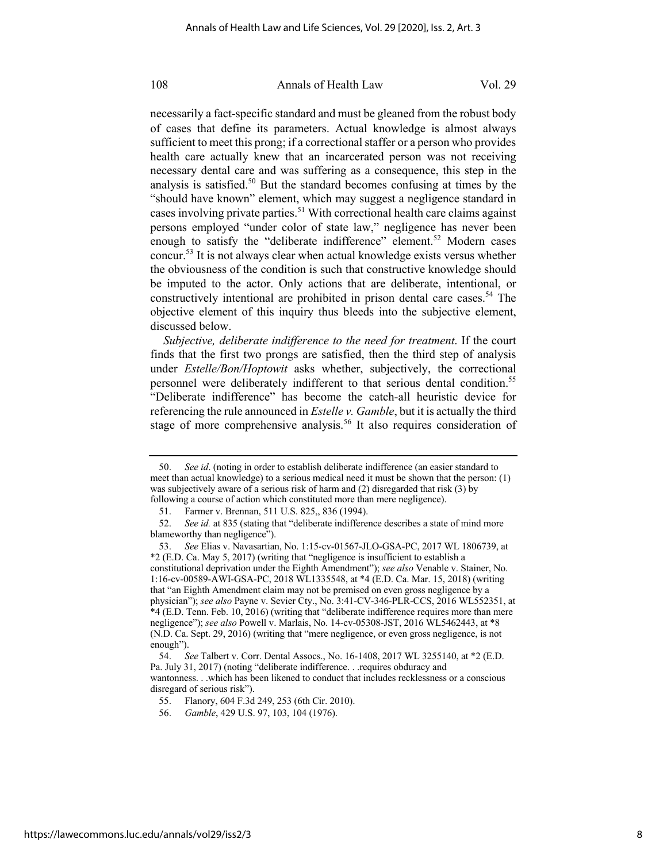necessarily a fact-specific standard and must be gleaned from the robust body of cases that define its parameters. Actual knowledge is almost always sufficient to meet this prong; if a correctional staffer or a person who provides health care actually knew that an incarcerated person was not receiving necessary dental care and was suffering as a consequence, this step in the analysis is satisfied. $50$  But the standard becomes confusing at times by the "should have known" element, which may suggest a negligence standard in cases involving private parties.<sup>51</sup> With correctional health care claims against persons employed "under color of state law," negligence has never been enough to satisfy the "deliberate indifference" element.<sup>52</sup> Modern cases concur.<sup>53</sup> It is not always clear when actual knowledge exists versus whether the obviousness of the condition is such that constructive knowledge should be imputed to the actor. Only actions that are deliberate, intentional, or constructively intentional are prohibited in prison dental care cases.<sup>54</sup> The objective element of this inquiry thus bleeds into the subjective element, discussed below.

*Subjective, deliberate indifference to the need for treatment*. If the court finds that the first two prongs are satisfied, then the third step of analysis under *Estelle/Bon/Hoptowit* asks whether, subjectively, the correctional personnel were deliberately indifferent to that serious dental condition.<sup>55</sup> "Deliberate indifference" has become the catch-all heuristic device for referencing the rule announced in *Estelle v. Gamble*, but it is actually the third stage of more comprehensive analysis.<sup>56</sup> It also requires consideration of

<sup>50.</sup> *See id*. (noting in order to establish deliberate indifference (an easier standard to meet than actual knowledge) to a serious medical need it must be shown that the person: (1) was subjectively aware of a serious risk of harm and (2) disregarded that risk (3) by following a course of action which constituted more than mere negligence).

<sup>51.</sup> Farmer v. Brennan, 511 U.S. 825,, 836 (1994).

<sup>52.</sup> *See id.* at 835 (stating that "deliberate indifference describes a state of mind more blameworthy than negligence").

<sup>53.</sup> *See* Elias v. Navasartian, No. 1:15-cv-01567-JLO-GSA-PC, 2017 WL 1806739, at \*2 (E.D. Ca. May 5, 2017) (writing that "negligence is insufficient to establish a constitutional deprivation under the Eighth Amendment"); *see also* Venable v. Stainer, No. 1:16-cv-00589-AWI-GSA-PC, 2018 WL1335548, at \*4 (E.D. Ca. Mar. 15, 2018) (writing that "an Eighth Amendment claim may not be premised on even gross negligence by a physician"); *see also* Payne v. Sevier Cty., No. 3:41-CV-346-PLR-CCS, 2016 WL552351, at \*4 (E.D. Tenn. Feb. 10, 2016) (writing that "deliberate indifference requires more than mere negligence"); *see also* Powell v. Marlais, No. 14-cv-05308-JST, 2016 WL5462443, at \*8 (N.D. Ca. Sept. 29, 2016) (writing that "mere negligence, or even gross negligence, is not enough").

<sup>54.</sup> *See* Talbert v. Corr. Dental Assocs., No. 16-1408, 2017 WL 3255140, at \*2 (E.D. Pa. July 31, 2017) (noting "deliberate indifference. . .requires obduracy and wantonness. . .which has been likened to conduct that includes recklessness or a conscious disregard of serious risk").

<sup>55.</sup> Flanory, 604 F.3d 249, 253 (6th Cir. 2010).

<sup>56.</sup> *Gamble*, 429 U.S. 97, 103, 104 (1976).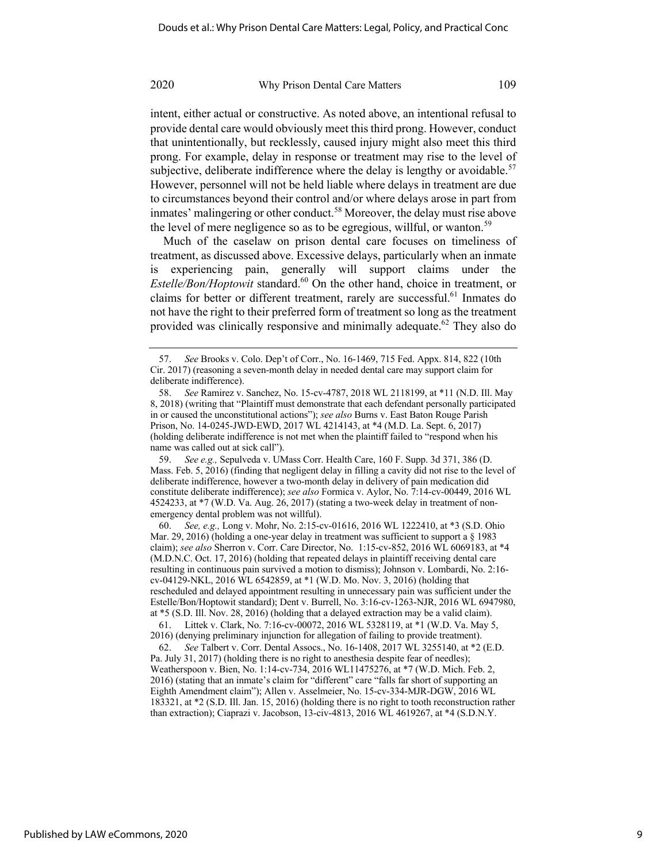intent, either actual or constructive. As noted above, an intentional refusal to provide dental care would obviously meet this third prong. However, conduct that unintentionally, but recklessly, caused injury might also meet this third prong. For example, delay in response or treatment may rise to the level of subjective, deliberate indifference where the delay is lengthy or avoidable.<sup>57</sup> However, personnel will not be held liable where delays in treatment are due to circumstances beyond their control and/or where delays arose in part from inmates' malingering or other conduct.<sup>58</sup> Moreover, the delay must rise above the level of mere negligence so as to be egregious, willful, or wanton.<sup>59</sup>

Much of the caselaw on prison dental care focuses on timeliness of treatment, as discussed above. Excessive delays, particularly when an inmate is experiencing pain, generally will support claims under the *Estelle/Bon/Hoptowit* standard.<sup>60</sup> On the other hand, choice in treatment, or claims for better or different treatment, rarely are successful.<sup>61</sup> Inmates do not have the right to their preferred form of treatment so long as the treatment provided was clinically responsive and minimally adequate.<sup>62</sup> They also do

59. *See e.g.,* Sepulveda v. UMass Corr. Health Care, 160 F. Supp. 3d 371, 386 (D. Mass. Feb. 5, 2016) (finding that negligent delay in filling a cavity did not rise to the level of deliberate indifference, however a two-month delay in delivery of pain medication did constitute deliberate indifference); *see also* Formica v. Aylor, No. 7:14-cv-00449, 2016 WL 4524233, at \*7 (W.D. Va. Aug. 26, 2017) (stating a two-week delay in treatment of nonemergency dental problem was not willful).

60. *See, e.g.,* Long v. Mohr, No. 2:15-cv-01616, 2016 WL 1222410, at \*3 (S.D. Ohio Mar. 29, 2016) (holding a one-year delay in treatment was sufficient to support a § 1983 claim); *see also* Sherron v. Corr. Care Director, No. 1:15-cv-852, 2016 WL 6069183, at \*4 (M.D.N.C. Oct. 17, 2016) (holding that repeated delays in plaintiff receiving dental care resulting in continuous pain survived a motion to dismiss); Johnson v. Lombardi, No. 2:16 cv-04129-NKL, 2016 WL 6542859, at \*1 (W.D. Mo. Nov. 3, 2016) (holding that rescheduled and delayed appointment resulting in unnecessary pain was sufficient under the Estelle/Bon/Hoptowit standard); Dent v. Burrell, No. 3:16-cv-1263-NJR, 2016 WL 6947980, at \*5 (S.D. Ill. Nov. 28, 2016) (holding that a delayed extraction may be a valid claim).

61. Littek v. Clark, No. 7:16-cv-00072, 2016 WL 5328119, at \*1 (W.D. Va. May 5, 2016) (denying preliminary injunction for allegation of failing to provide treatment).

62. *See* Talbert v. Corr. Dental Assocs., No. 16-1408, 2017 WL 3255140, at \*2 (E.D. Pa. July 31, 2017) (holding there is no right to anesthesia despite fear of needles); Weatherspoon v. Bien, No. 1:14-cv-734, 2016 WL11475276, at \*7 (W.D. Mich. Feb. 2, 2016) (stating that an inmate's claim for "different" care "falls far short of supporting an Eighth Amendment claim"); Allen v. Asselmeier, No. 15-cv-334-MJR-DGW, 2016 WL 183321, at \*2 (S.D. Ill. Jan. 15, 2016) (holding there is no right to tooth reconstruction rather than extraction); Ciaprazi v. Jacobson, 13-civ-4813, 2016 WL 4619267, at \*4 (S.D.N.Y.

<sup>57.</sup> *See* Brooks v. Colo. Dep't of Corr., No. 16-1469, 715 Fed. Appx. 814, 822 (10th Cir. 2017) (reasoning a seven-month delay in needed dental care may support claim for deliberate indifference).

<sup>58.</sup> *See* Ramirez v. Sanchez, No. 15-cv-4787, 2018 WL 2118199, at \*11 (N.D. Ill. May 8, 2018) (writing that "Plaintiff must demonstrate that each defendant personally participated in or caused the unconstitutional actions"); *see also* Burns v. East Baton Rouge Parish Prison, No. 14-0245-JWD-EWD, 2017 WL 4214143, at \*4 (M.D. La. Sept. 6, 2017) (holding deliberate indifference is not met when the plaintiff failed to "respond when his name was called out at sick call").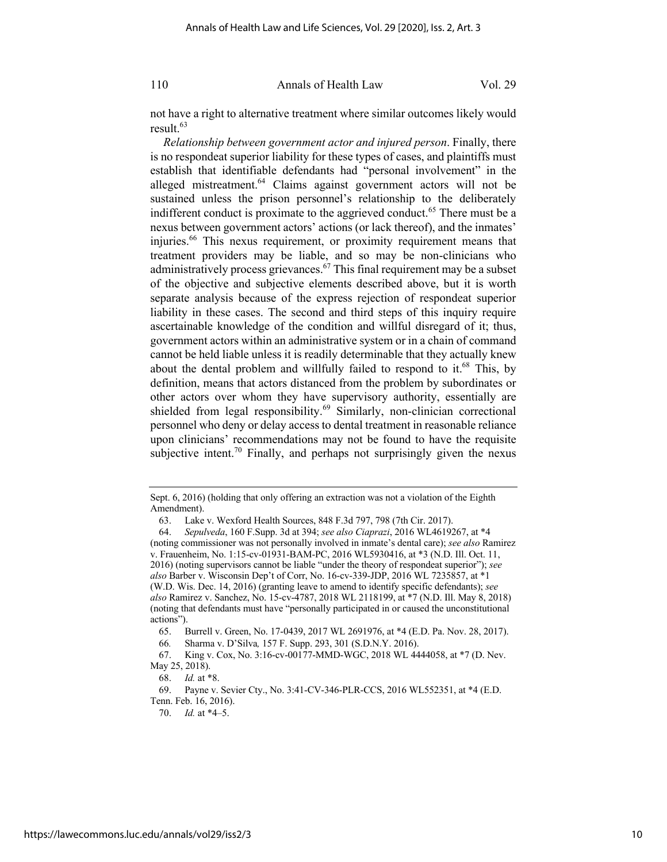not have a right to alternative treatment where similar outcomes likely would result. $63$ 

*Relationship between government actor and injured person*. Finally, there is no respondeat superior liability for these types of cases, and plaintiffs must establish that identifiable defendants had "personal involvement" in the alleged mistreatment.<sup>64</sup> Claims against government actors will not be sustained unless the prison personnel's relationship to the deliberately indifferent conduct is proximate to the aggrieved conduct.<sup>65</sup> There must be a nexus between government actors' actions (or lack thereof), and the inmates' injuries.<sup>66</sup> This nexus requirement, or proximity requirement means that treatment providers may be liable, and so may be non-clinicians who administratively process grievances.<sup>67</sup> This final requirement may be a subset of the objective and subjective elements described above, but it is worth separate analysis because of the express rejection of respondeat superior liability in these cases. The second and third steps of this inquiry require ascertainable knowledge of the condition and willful disregard of it; thus, government actors within an administrative system or in a chain of command cannot be held liable unless it is readily determinable that they actually knew about the dental problem and willfully failed to respond to it.<sup>68</sup> This, by definition, means that actors distanced from the problem by subordinates or other actors over whom they have supervisory authority, essentially are shielded from legal responsibility.<sup>69</sup> Similarly, non-clinician correctional personnel who deny or delay access to dental treatment in reasonable reliance upon clinicians' recommendations may not be found to have the requisite subjective intent.<sup>70</sup> Finally, and perhaps not surprisingly given the nexus

Sept. 6, 2016) (holding that only offering an extraction was not a violation of the Eighth Amendment).

<sup>63.</sup> Lake v. Wexford Health Sources, 848 F.3d 797, 798 (7th Cir. 2017).

<sup>64.</sup> *Sepulveda*, 160 F.Supp. 3d at 394; *see also Ciaprazi*, 2016 WL4619267, at \*4 (noting commissioner was not personally involved in inmate's dental care); *see also* Ramirez v. Frauenheim, No. 1:15-cv-01931-BAM-PC, 2016 WL5930416, at \*3 (N.D. Ill. Oct. 11, 2016) (noting supervisors cannot be liable "under the theory of respondeat superior"); *see also* Barber v. Wisconsin Dep't of Corr, No. 16-cv-339-JDP, 2016 WL 7235857, at \*1 (W.D. Wis. Dec. 14, 2016) (granting leave to amend to identify specific defendants); *see also* Ramirez v. Sanchez, No. 15-cv-4787, 2018 WL 2118199, at \*7 (N.D. Ill. May 8, 2018) (noting that defendants must have "personally participated in or caused the unconstitutional actions").

<sup>65.</sup> Burrell v. Green, No. 17-0439, 2017 WL 2691976, at \*4 (E.D. Pa. Nov. 28, 2017).

<sup>66</sup>*.* Sharma v. D'Silva*,* 157 F. Supp. 293, 301 (S.D.N.Y. 2016).

<sup>67.</sup> King v. Cox, No. 3:16-cv-00177-MMD-WGC, 2018 WL 4444058, at \*7 (D. Nev. May 25, 2018).

<sup>68.</sup> *Id.* at \*8.

<sup>69.</sup> Payne v. Sevier Cty., No. 3:41-CV-346-PLR-CCS, 2016 WL552351, at \*4 (E.D. Tenn. Feb. 16, 2016).

<sup>70.</sup> *Id.* at \*4–5.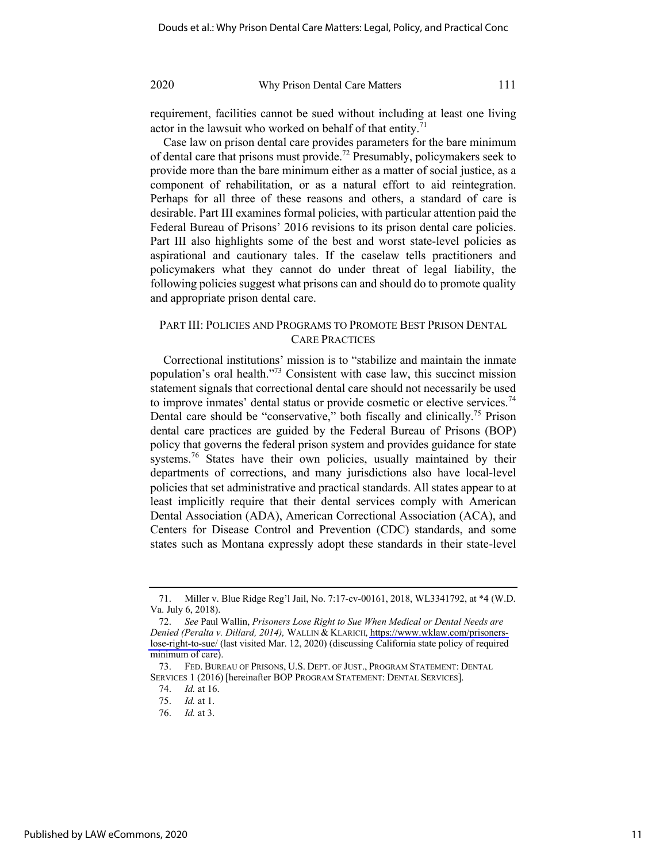requirement, facilities cannot be sued without including at least one living actor in the lawsuit who worked on behalf of that entity.<sup>71</sup>

Case law on prison dental care provides parameters for the bare minimum of dental care that prisons must provide.72 Presumably, policymakers seek to provide more than the bare minimum either as a matter of social justice, as a component of rehabilitation, or as a natural effort to aid reintegration. Perhaps for all three of these reasons and others, a standard of care is desirable. Part III examines formal policies, with particular attention paid the Federal Bureau of Prisons' 2016 revisions to its prison dental care policies. Part III also highlights some of the best and worst state-level policies as aspirational and cautionary tales. If the caselaw tells practitioners and policymakers what they cannot do under threat of legal liability, the following policies suggest what prisons can and should do to promote quality and appropriate prison dental care.

### PART III: POLICIES AND PROGRAMS TO PROMOTE BEST PRISON DENTAL CARE PRACTICES

Correctional institutions' mission is to "stabilize and maintain the inmate population's oral health."73 Consistent with case law, this succinct mission statement signals that correctional dental care should not necessarily be used to improve inmates' dental status or provide cosmetic or elective services.<sup>74</sup> Dental care should be "conservative," both fiscally and clinically.<sup>75</sup> Prison dental care practices are guided by the Federal Bureau of Prisons (BOP) policy that governs the federal prison system and provides guidance for state systems.<sup>76</sup> States have their own policies, usually maintained by their departments of corrections, and many jurisdictions also have local-level policies that set administrative and practical standards. All states appear to at least implicitly require that their dental services comply with American Dental Association (ADA), American Correctional Association (ACA), and Centers for Disease Control and Prevention (CDC) standards, and some states such as Montana expressly adopt these standards in their state-level

<sup>71.</sup> Miller v. Blue Ridge Reg'l Jail, No. 7:17-cv-00161, 2018, WL3341792, at \*4 (W.D. Va. July 6, 2018).

<sup>72.</sup> *See* Paul Wallin, *Prisoners Lose Right to Sue When Medical or Dental Needs are Denied (Peralta v. Dillard, 2014),* WALLIN & KLARICH*,* [https://www.wklaw.com/prisoners](https://www.wklaw.com/prisoners-lose-right-to-sue/)[lose-right-to-sue/](https://www.wklaw.com/prisoners-lose-right-to-sue/) (last visited Mar. 12, 2020) (discussing California state policy of required minimum of care).

<sup>73.</sup> FED. BUREAU OF PRISONS, U.S. DEPT. OF JUST., PROGRAM STATEMENT: DENTAL SERVICES 1 (2016) [hereinafter BOP PROGRAM STATEMENT: DENTAL SERVICES].

<sup>74.</sup> *Id.* at 16.

<sup>75.</sup> *Id.* at 1.

<sup>76.</sup> *Id.* at 3.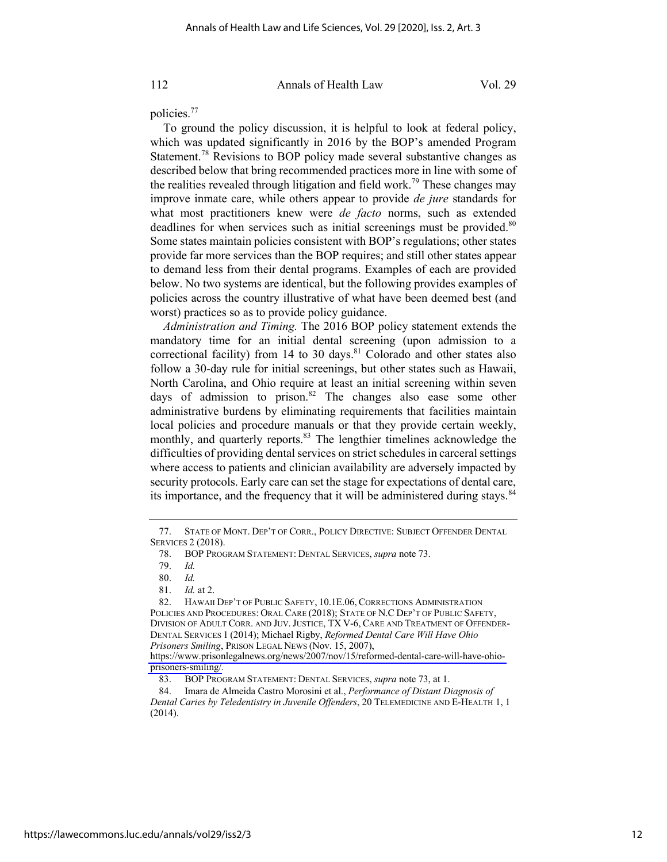policies.77

To ground the policy discussion, it is helpful to look at federal policy, which was updated significantly in 2016 by the BOP's amended Program Statement.<sup>78</sup> Revisions to BOP policy made several substantive changes as described below that bring recommended practices more in line with some of the realities revealed through litigation and field work.<sup>79</sup> These changes may improve inmate care, while others appear to provide *de jure* standards for what most practitioners knew were *de facto* norms, such as extended deadlines for when services such as initial screenings must be provided.<sup>80</sup> Some states maintain policies consistent with BOP's regulations; other states provide far more services than the BOP requires; and still other states appear to demand less from their dental programs. Examples of each are provided below. No two systems are identical, but the following provides examples of policies across the country illustrative of what have been deemed best (and worst) practices so as to provide policy guidance.

*Administration and Timing.* The 2016 BOP policy statement extends the mandatory time for an initial dental screening (upon admission to a correctional facility) from  $14$  to  $30$  days.<sup>81</sup> Colorado and other states also follow a 30-day rule for initial screenings, but other states such as Hawaii, North Carolina, and Ohio require at least an initial screening within seven days of admission to prison.<sup>82</sup> The changes also ease some other administrative burdens by eliminating requirements that facilities maintain local policies and procedure manuals or that they provide certain weekly, monthly, and quarterly reports.<sup>83</sup> The lengthier timelines acknowledge the difficulties of providing dental services on strict schedules in carceral settings where access to patients and clinician availability are adversely impacted by security protocols. Early care can set the stage for expectations of dental care, its importance, and the frequency that it will be administered during stays.<sup>84</sup>

<sup>77.</sup> STATE OF MONT. DEP'T OF CORR., POLICY DIRECTIVE: SUBJECT OFFENDER DENTAL SERVICES 2 (2018).

<sup>78.</sup> BOP PROGRAM STATEMENT: DENTAL SERVICES, *supra* note 73.

<sup>79.</sup> *Id.*

<sup>80.</sup> *Id.*

<sup>81.</sup> *Id.* at 2.

<sup>82.</sup> HAWAII DEP'T OF PUBLIC SAFETY, 10.1E.06, CORRECTIONS ADMINISTRATION POLICIES AND PROCEDURES: ORAL CARE (2018); STATE OF N.C DEP'T OF PUBLIC SAFETY, DIVISION OF ADULT CORR. AND JUV.JUSTICE, TX V-6, CARE AND TREATMENT OF OFFENDER-DENTAL SERVICES 1 (2014); Michael Rigby, *Reformed Dental Care Will Have Ohio Prisoners Smiling*, PRISON LEGAL NEWS (Nov. 15, 2007),

[https://www.prisonlegalnews.org/news/2007/nov/15/reformed-dental-care-will-have-ohio](https://www.prisonlegalnews.org/news/2007/nov/15/reformed-dental-care-will-have-ohio-prisoners-smiling/)[prisoners-smiling/](https://www.prisonlegalnews.org/news/2007/nov/15/reformed-dental-care-will-have-ohio-prisoners-smiling/)*.*

<sup>83.</sup> BOP PROGRAM STATEMENT: DENTAL SERVICES, *supra* note 73, at 1.

<sup>84.</sup> Imara de Almeida Castro Morosini et al., *Performance of Distant Diagnosis of Dental Caries by Teledentistry in Juvenile Offenders*, 20 TELEMEDICINE AND E-HEALTH 1, 1 (2014).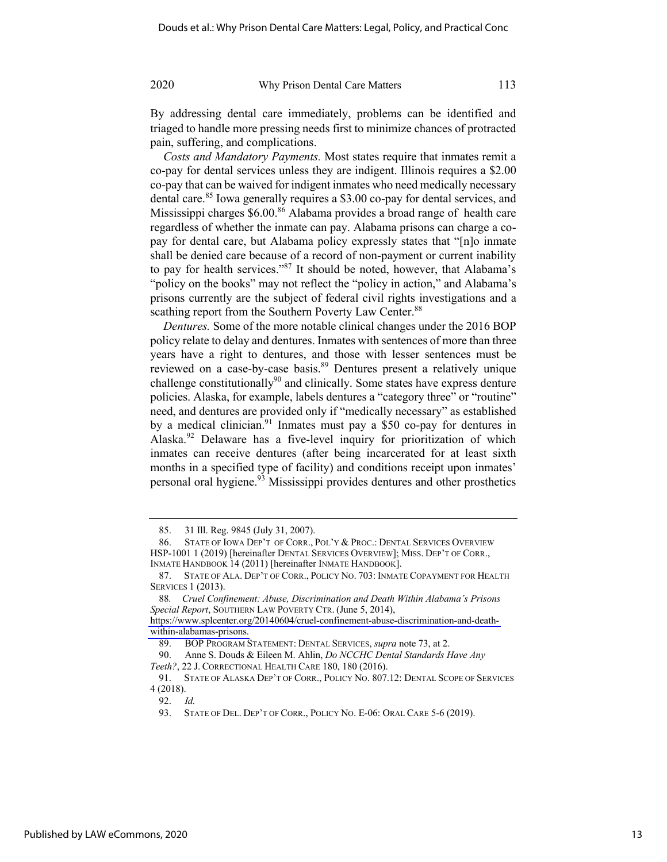By addressing dental care immediately, problems can be identified and triaged to handle more pressing needs first to minimize chances of protracted pain, suffering, and complications.

*Costs and Mandatory Payments.* Most states require that inmates remit a co-pay for dental services unless they are indigent. Illinois requires a \$2.00 co-pay that can be waived for indigent inmates who need medically necessary dental care.<sup>85</sup> Iowa generally requires a \$3.00 co-pay for dental services, and Mississippi charges \$6.00.<sup>86</sup> Alabama provides a broad range of health care regardless of whether the inmate can pay. Alabama prisons can charge a copay for dental care, but Alabama policy expressly states that "[n]o inmate shall be denied care because of a record of non-payment or current inability to pay for health services."<sup>87</sup> It should be noted, however, that Alabama's "policy on the books" may not reflect the "policy in action," and Alabama's prisons currently are the subject of federal civil rights investigations and a scathing report from the Southern Poverty Law Center.<sup>88</sup>

*Dentures.* Some of the more notable clinical changes under the 2016 BOP policy relate to delay and dentures. Inmates with sentences of more than three years have a right to dentures, and those with lesser sentences must be reviewed on a case-by-case basis.<sup>89</sup> Dentures present a relatively unique challenge constitutionally<sup>90</sup> and clinically. Some states have express denture policies. Alaska, for example, labels dentures a "category three" or "routine" need, and dentures are provided only if "medically necessary" as established by a medical clinician.<sup>91</sup> Inmates must pay a \$50 co-pay for dentures in Alaska.<sup>92</sup> Delaware has a five-level inquiry for prioritization of which inmates can receive dentures (after being incarcerated for at least sixth months in a specified type of facility) and conditions receipt upon inmates' personal oral hygiene.<sup>93</sup> Mississippi provides dentures and other prosthetics

<sup>85. 31</sup> Ill. Reg. 9845 (July 31, 2007).

<sup>86.</sup> STATE OF IOWA DEP'T OF CORR., POL'Y & PROC.: DENTAL SERVICES OVERVIEW HSP-1001 1 (2019) [hereinafter DENTAL SERVICES OVERVIEW]; MISS. DEP'T OF CORR., INMATE HANDBOOK 14 (2011) [hereinafter INMATE HANDBOOK].

<sup>87.</sup> STATE OF ALA. DEP'T OF CORR., POLICY NO. 703: INMATE COPAYMENT FOR HEALTH SERVICES 1 (2013).

<sup>88</sup>*. Cruel Confinement: Abuse, Discrimination and Death Within Alabama's Prisons Special Report*, SOUTHERN LAW POVERTY CTR. (June 5, 2014), [https://www.splcenter.org/20140604/cruel-confinement-abuse-discrimination-and-death](https://www.splcenter.org/20140604/cruel-confinement-abuse-discrimination-and-death-within-alabamas-prisons)[within-alabamas-prisons.](https://www.splcenter.org/20140604/cruel-confinement-abuse-discrimination-and-death-within-alabamas-prisons) 

<sup>89.</sup> BOP PROGRAM STATEMENT: DENTAL SERVICES, *supra* note 73, at 2.

<sup>90.</sup> Anne S. Douds & Eileen M. Ahlin, *Do NCCHC Dental Standards Have Any Teeth?*, 22 J. CORRECTIONAL HEALTH CARE 180, 180 (2016).

<sup>91.</sup> STATE OF ALASKA DEP'T OF CORR., POLICY NO. 807.12: DENTAL SCOPE OF SERVICES 4 (2018).

<sup>92.</sup> *Id.*

<sup>93.</sup> STATE OF DEL. DEP'T OF CORR., POLICY NO. E-06: ORAL CARE 5-6 (2019).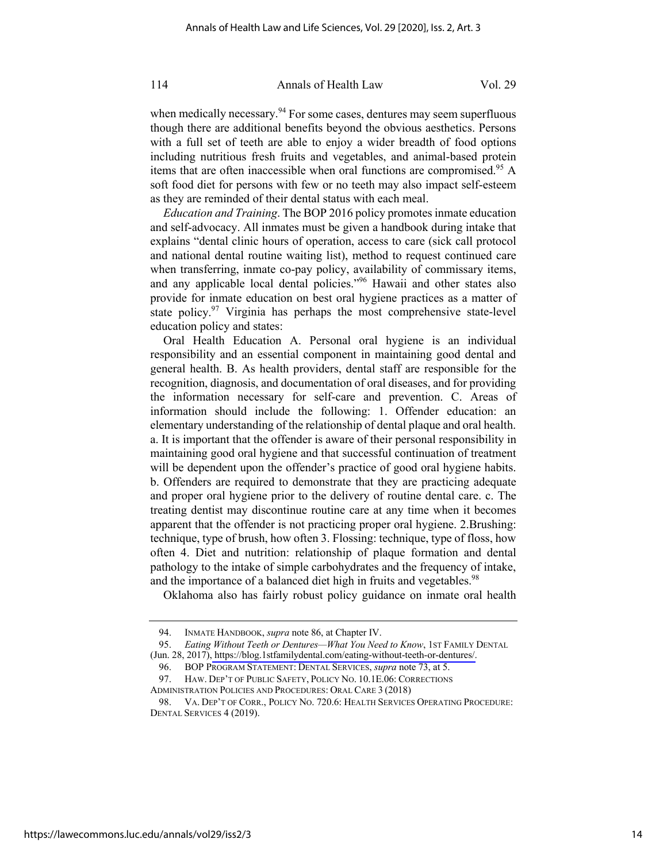when medically necessary. $94$  For some cases, dentures may seem superfluous though there are additional benefits beyond the obvious aesthetics. Persons with a full set of teeth are able to enjoy a wider breadth of food options including nutritious fresh fruits and vegetables, and animal-based protein items that are often inaccessible when oral functions are compromised.<sup>95</sup> A soft food diet for persons with few or no teeth may also impact self-esteem as they are reminded of their dental status with each meal.

*Education and Training*. The BOP 2016 policy promotes inmate education and self-advocacy. All inmates must be given a handbook during intake that explains "dental clinic hours of operation, access to care (sick call protocol and national dental routine waiting list), method to request continued care when transferring, inmate co-pay policy, availability of commissary items, and any applicable local dental policies."<sup>96</sup> Hawaii and other states also provide for inmate education on best oral hygiene practices as a matter of state policy.<sup>97</sup> Virginia has perhaps the most comprehensive state-level education policy and states:

Oral Health Education A. Personal oral hygiene is an individual responsibility and an essential component in maintaining good dental and general health. B. As health providers, dental staff are responsible for the recognition, diagnosis, and documentation of oral diseases, and for providing the information necessary for self-care and prevention. C. Areas of information should include the following: 1. Offender education: an elementary understanding of the relationship of dental plaque and oral health. a. It is important that the offender is aware of their personal responsibility in maintaining good oral hygiene and that successful continuation of treatment will be dependent upon the offender's practice of good oral hygiene habits. b. Offenders are required to demonstrate that they are practicing adequate and proper oral hygiene prior to the delivery of routine dental care. c. The treating dentist may discontinue routine care at any time when it becomes apparent that the offender is not practicing proper oral hygiene. 2.Brushing: technique, type of brush, how often 3. Flossing: technique, type of floss, how often 4. Diet and nutrition: relationship of plaque formation and dental pathology to the intake of simple carbohydrates and the frequency of intake, and the importance of a balanced diet high in fruits and vegetables.<sup>98</sup>

Oklahoma also has fairly robust policy guidance on inmate oral health

<sup>94.</sup> INMATE HANDBOOK, *supra* note 86, at Chapter IV.

<sup>95.</sup> *Eating Without Teeth or Dentures—What You Need to Know*, 1ST FAMILY DENTAL (Jun. 28, 2017), [https://blog.1stfamilydental.com/eating-without-teeth-or-dentures/.](https://blog.1stfamilydental.com/eating-without-teeth-or-dentures/)

<sup>96.</sup> BOP PROGRAM STATEMENT: DENTAL SERVICES, *supra* note 73, at 5.

<sup>97.</sup> HAW. DEP'T OF PUBLIC SAFETY, POLICY NO. 10.1E.06: CORRECTIONS

ADMINISTRATION POLICIES AND PROCEDURES: ORAL CARE 3 (2018)

<sup>98.</sup> VA. DEP'T OF CORR., POLICY NO. 720.6: HEALTH SERVICES OPERATING PROCEDURE: DENTAL SERVICES 4 (2019).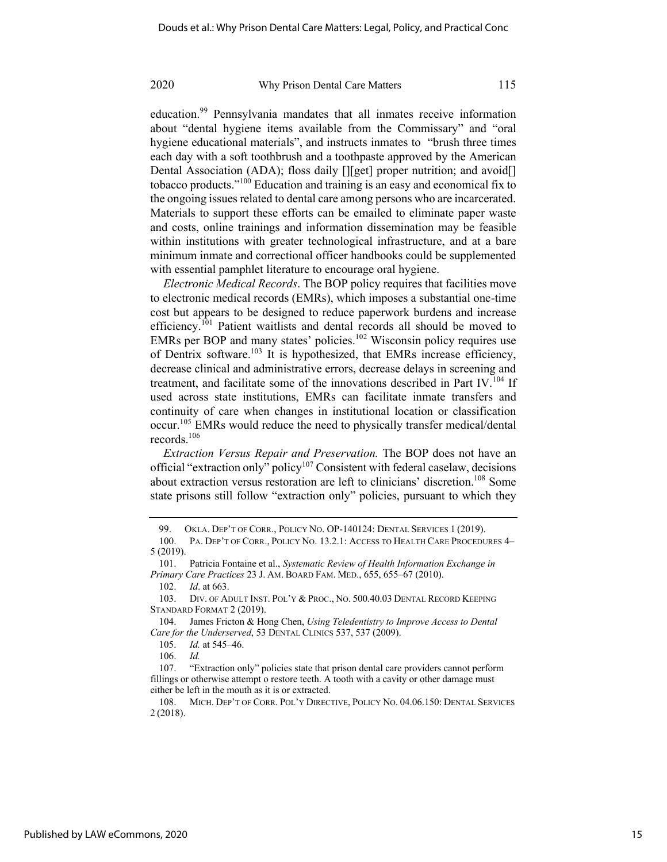education.<sup>99</sup> Pennsylvania mandates that all inmates receive information about "dental hygiene items available from the Commissary" and "oral hygiene educational materials", and instructs inmates to "brush three times each day with a soft toothbrush and a toothpaste approved by the American Dental Association (ADA); floss daily [][get] proper nutrition; and avoid[] tobacco products."<sup>100</sup> Education and training is an easy and economical fix to the ongoing issues related to dental care among persons who are incarcerated. Materials to support these efforts can be emailed to eliminate paper waste and costs, online trainings and information dissemination may be feasible within institutions with greater technological infrastructure, and at a bare minimum inmate and correctional officer handbooks could be supplemented with essential pamphlet literature to encourage oral hygiene.

*Electronic Medical Records*. The BOP policy requires that facilities move to electronic medical records (EMRs), which imposes a substantial one-time cost but appears to be designed to reduce paperwork burdens and increase efficiency.<sup>101</sup> Patient waitlists and dental records all should be moved to EMRs per BOP and many states' policies.<sup>102</sup> Wisconsin policy requires use of Dentrix software.<sup>103</sup> It is hypothesized, that EMRs increase efficiency, decrease clinical and administrative errors, decrease delays in screening and treatment, and facilitate some of the innovations described in Part IV.<sup>104</sup> If used across state institutions, EMRs can facilitate inmate transfers and continuity of care when changes in institutional location or classification occur.105 EMRs would reduce the need to physically transfer medical/dental records.106

*Extraction Versus Repair and Preservation.* The BOP does not have an official "extraction only" policy<sup>107</sup> Consistent with federal caselaw, decisions about extraction versus restoration are left to clinicians' discretion.<sup>108</sup> Some state prisons still follow "extraction only" policies, pursuant to which they

102. *Id*. at 663.

105. *Id.* at 545–46.

106. *Id.*

<sup>99.</sup> OKLA. DEP'T OF CORR., POLICY NO. OP-140124: DENTAL SERVICES 1 (2019).

<sup>100.</sup> PA. DEP'T OF CORR., POLICY NO. 13.2.1: ACCESS TO HEALTH CARE PROCEDURES 4– 5 (2019).

<sup>101.</sup> Patricia Fontaine et al., *Systematic Review of Health Information Exchange in Primary Care Practices* 23 J. AM. BOARD FAM. MED., 655, 655–67 (2010).

<sup>103.</sup> DIV. OF ADULT INST. POL'Y & PROC., NO. 500.40.03 DENTAL RECORD KEEPING STANDARD FORMAT 2 (2019).

<sup>104.</sup> James Fricton & Hong Chen, *Using Teledentistry to Improve Access to Dental Care for the Underserved*, 53 DENTAL CLINICS 537, 537 (2009).

<sup>107. &</sup>quot;Extraction only" policies state that prison dental care providers cannot perform fillings or otherwise attempt o restore teeth. A tooth with a cavity or other damage must either be left in the mouth as it is or extracted.

<sup>108.</sup> MICH. DEP'T OF CORR. POL'Y DIRECTIVE, POLICY NO. 04.06.150: DENTAL SERVICES 2 (2018).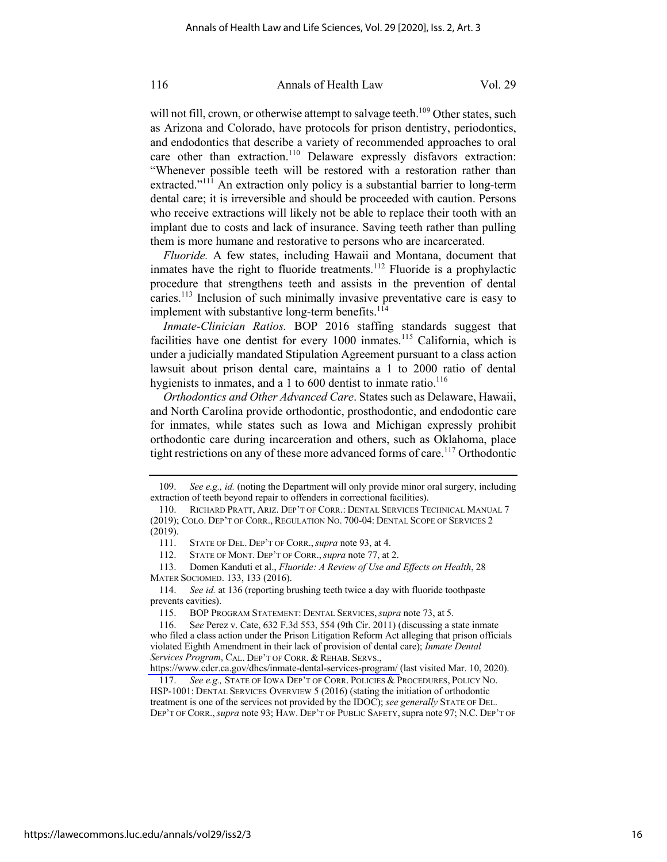will not fill, crown, or otherwise attempt to salvage teeth.<sup>109</sup> Other states, such as Arizona and Colorado, have protocols for prison dentistry, periodontics, and endodontics that describe a variety of recommended approaches to oral care other than extraction.<sup>110</sup> Delaware expressly disfavors extraction: "Whenever possible teeth will be restored with a restoration rather than extracted."<sup>111</sup> An extraction only policy is a substantial barrier to long-term dental care; it is irreversible and should be proceeded with caution. Persons who receive extractions will likely not be able to replace their tooth with an implant due to costs and lack of insurance. Saving teeth rather than pulling them is more humane and restorative to persons who are incarcerated.

*Fluoride.* A few states, including Hawaii and Montana, document that inmates have the right to fluoride treatments.<sup>112</sup> Fluoride is a prophylactic procedure that strengthens teeth and assists in the prevention of dental caries. <sup>113</sup> Inclusion of such minimally invasive preventative care is easy to implement with substantive long-term benefits. $114$ 

*Inmate-Clinician Ratios.* BOP 2016 staffing standards suggest that facilities have one dentist for every 1000 inmates.<sup>115</sup> California, which is under a judicially mandated Stipulation Agreement pursuant to a class action lawsuit about prison dental care, maintains a 1 to 2000 ratio of dental hygienists to inmates, and a 1 to  $600$  dentist to inmate ratio.<sup>116</sup>

*Orthodontics and Other Advanced Care*. States such as Delaware, Hawaii, and North Carolina provide orthodontic, prosthodontic, and endodontic care for inmates, while states such as Iowa and Michigan expressly prohibit orthodontic care during incarceration and others, such as Oklahoma, place tight restrictions on any of these more advanced forms of care.<sup>117</sup> Orthodontic

113. Domen Kanduti et al., *Fluoride: A Review of Use and Effects on Health*, 28 MATER SOCIOMED. 133, 133 (2016).

114. *See id.* at 136 (reporting brushing teeth twice a day with fluoride toothpaste prevents cavities).

<https://www.cdcr.ca.gov/dhcs/inmate-dental-services-program/>(last visited Mar. 10, 2020). 117. *See e.g.,* STATE OF IOWA DEP'T OF CORR. POLICIES & PROCEDURES, POLICY NO.

<sup>109.</sup> *See e.g., id.* (noting the Department will only provide minor oral surgery, including extraction of teeth beyond repair to offenders in correctional facilities).

<sup>110.</sup> RICHARD PRATT, ARIZ. DEP'T OF CORR.: DENTAL SERVICES TECHNICAL MANUAL 7 (2019); COLO. DEP'T OF CORR., REGULATION NO. 700-04: DENTAL SCOPE OF SERVICES 2 (2019).

<sup>111.</sup> STATE OF DEL. DEP'T OF CORR.,*supra* note 93, at 4.

<sup>112.</sup> STATE OF MONT. DEP'T OF CORR.,*supra* note 77, at 2.

<sup>115.</sup> BOP PROGRAM STATEMENT: DENTAL SERVICES,*supra* note 73, at 5.

<sup>116.</sup> S*ee* Perez v. Cate, 632 F.3d 553, 554 (9th Cir. 2011) (discussing a state inmate who filed a class action under the Prison Litigation Reform Act alleging that prison officials violated Eighth Amendment in their lack of provision of dental care); *Inmate Dental Services Program*, CAL. DEP'T OF CORR. & REHAB. SERVS.,

HSP-1001: DENTAL SERVICES OVERVIEW 5 (2016) (stating the initiation of orthodontic treatment is one of the services not provided by the IDOC); *see generally* STATE OF DEL. DEP'T OF CORR., *supra* note 93; HAW. DEP'T OF PUBLIC SAFETY, supra note 97; N.C. DEP'T OF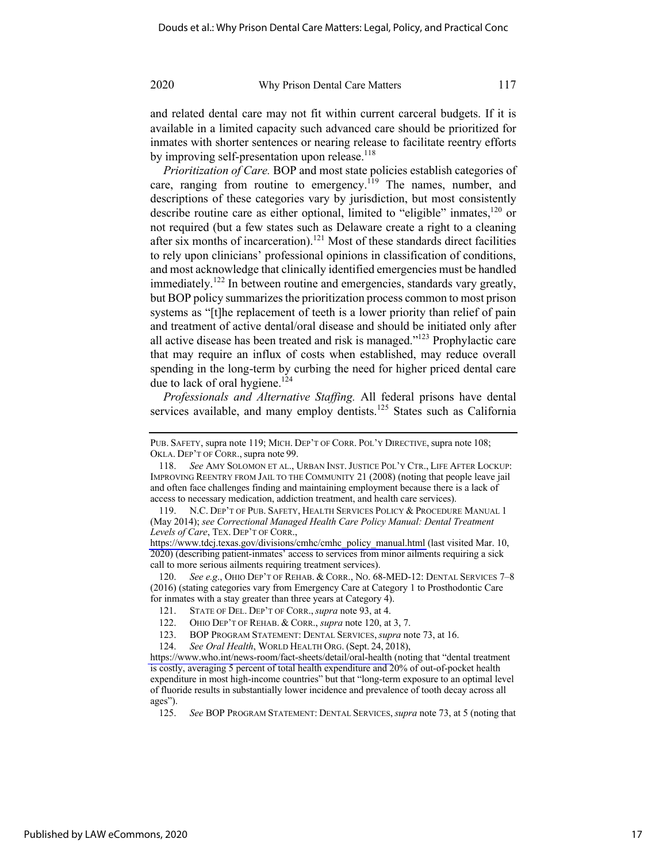and related dental care may not fit within current carceral budgets. If it is available in a limited capacity such advanced care should be prioritized for inmates with shorter sentences or nearing release to facilitate reentry efforts by improving self-presentation upon release.<sup>118</sup>

*Prioritization of Care.* BOP and most state policies establish categories of care, ranging from routine to emergency.<sup>119</sup> The names, number, and descriptions of these categories vary by jurisdiction, but most consistently describe routine care as either optional, limited to "eligible" inmates, $120$  or not required (but a few states such as Delaware create a right to a cleaning after six months of incarceration).<sup>121</sup> Most of these standards direct facilities to rely upon clinicians' professional opinions in classification of conditions, and most acknowledge that clinically identified emergencies must be handled immediately.<sup>122</sup> In between routine and emergencies, standards vary greatly, but BOP policy summarizes the prioritization process common to most prison systems as "[t]he replacement of teeth is a lower priority than relief of pain and treatment of active dental/oral disease and should be initiated only after all active disease has been treated and risk is managed."<sup>123</sup> Prophylactic care that may require an influx of costs when established, may reduce overall spending in the long-term by curbing the need for higher priced dental care due to lack of oral hygiene.<sup>124</sup>

*Professionals and Alternative Staffing.* All federal prisons have dental services available, and many employ dentists.<sup>125</sup> States such as California

PUB. SAFETY, supra note 119; MICH. DEP'T OF CORR. POL'Y DIRECTIVE, supra note 108; OKLA. DEP'T OF CORR., supra note 99.

<sup>118.</sup> *See* AMY SOLOMON ET AL., URBAN INST.JUSTICE POL'Y CTR., LIFE AFTER LOCKUP: IMPROVING REENTRY FROM JAIL TO THE COMMUNITY 21 (2008) (noting that people leave jail and often face challenges finding and maintaining employment because there is a lack of access to necessary medication, addiction treatment, and health care services).

<sup>119.</sup> N.C. DEP'T OF PUB. SAFETY, HEALTH SERVICES POLICY & PROCEDURE MANUAL 1 (May 2014); *see Correctional Managed Health Care Policy Manual: Dental Treatment Levels of Care*, TEX. DEP'T OF CORR.,

[https://www.tdcj.texas.gov/divisions/cmhc/cmhc\\_policy\\_manual.html](https://www.tdcj.texas.gov/divisions/cmhc/cmhc_policy_manual.html) (last visited Mar. 10, 2020) (describing patient-inmates' access to services from minor ailments requiring a sick call to more serious ailments requiring treatment services).

<sup>120.</sup> *See e.g*., OHIO DEP'T OF REHAB. & CORR., NO. 68-MED-12: DENTAL SERVICES 7–8 (2016) (stating categories vary from Emergency Care at Category 1 to Prosthodontic Care for inmates with a stay greater than three years at Category 4).

<sup>121.</sup> STATE OF DEL. DEP'T OF CORR.,*supra* note 93, at 4.

<sup>122.</sup> OHIO DEP'T OF REHAB. & CORR., *supra* note 120, at 3, 7.

<sup>123.</sup> BOP PROGRAM STATEMENT: DENTAL SERVICES,*supra* note 73, at 16.

<sup>124.</sup> *See Oral Health*, WORLD HEALTH ORG. (Sept. 24, 2018),

<https://www.who.int/news-room/fact-sheets/detail/oral-health>(noting that "dental treatment is costly, averaging 5 percent of total health expenditure and 20% of out-of-pocket health expenditure in most high-income countries" but that "long-term exposure to an optimal level of fluoride results in substantially lower incidence and prevalence of tooth decay across all ages").

<sup>125.</sup> *See* BOP PROGRAM STATEMENT: DENTAL SERVICES,*supra* note 73, at 5 (noting that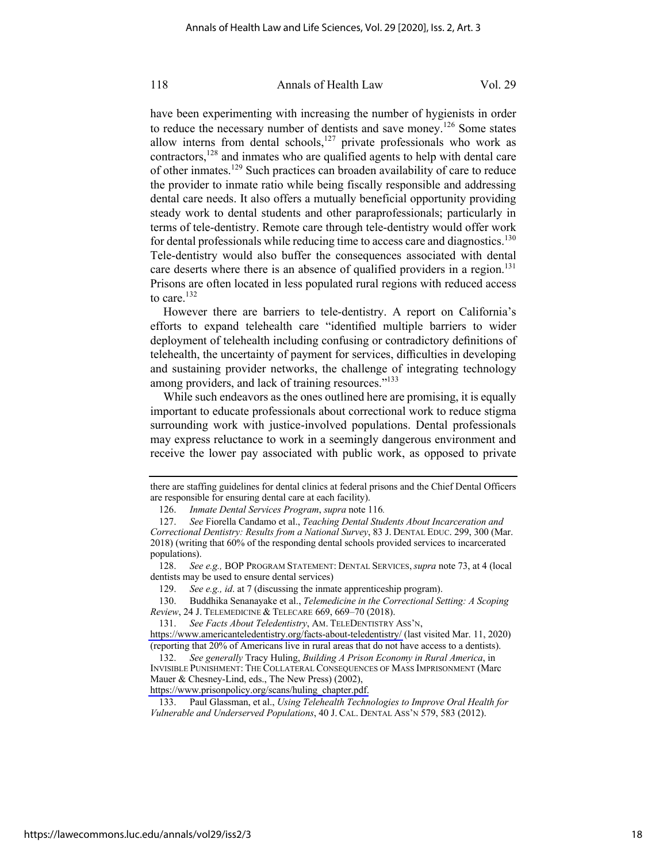have been experimenting with increasing the number of hygienists in order to reduce the necessary number of dentists and save money.<sup>126</sup> Some states allow interns from dental schools,<sup>127</sup> private professionals who work as contractors,128 and inmates who are qualified agents to help with dental care of other inmates.129 Such practices can broaden availability of care to reduce the provider to inmate ratio while being fiscally responsible and addressing dental care needs. It also offers a mutually beneficial opportunity providing steady work to dental students and other paraprofessionals; particularly in terms of tele-dentistry. Remote care through tele-dentistry would offer work for dental professionals while reducing time to access care and diagnostics.<sup>130</sup> Tele-dentistry would also buffer the consequences associated with dental care deserts where there is an absence of qualified providers in a region.<sup>131</sup> Prisons are often located in less populated rural regions with reduced access to care. $132$ 

However there are barriers to tele-dentistry. A report on California's efforts to expand telehealth care "identified multiple barriers to wider deployment of telehealth including confusing or contradictory definitions of telehealth, the uncertainty of payment for services, difficulties in developing and sustaining provider networks, the challenge of integrating technology among providers, and lack of training resources."<sup>133</sup>

While such endeavors as the ones outlined here are promising, it is equally important to educate professionals about correctional work to reduce stigma surrounding work with justice-involved populations. Dental professionals may express reluctance to work in a seemingly dangerous environment and receive the lower pay associated with public work, as opposed to private

130. Buddhika Senanayake et al., *Telemedicine in the Correctional Setting: A Scoping Review*, 24 J. TELEMEDICINE & TELECARE 669, 669–70 (2018).

[https://www.prisonpolicy.org/scans/huling\\_chapter.pdf.](https://www.prisonpolicy.org/scans/huling_chapter.pdf)

there are staffing guidelines for dental clinics at federal prisons and the Chief Dental Officers are responsible for ensuring dental care at each facility).

<sup>126.</sup> *Inmate Dental Services Program*, *supra* note 116*.*

<sup>127.</sup> *See* Fiorella Candamo et al., *Teaching Dental Students About Incarceration and Correctional Dentistry: Results from a National Survey*, 83 J. DENTAL EDUC. 299, 300 (Mar. 2018) (writing that 60% of the responding dental schools provided services to incarcerated populations).

<sup>128.</sup> *See e.g.,* BOP PROGRAM STATEMENT: DENTAL SERVICES,*supra* note 73, at 4 (local dentists may be used to ensure dental services)

<sup>129.</sup> *See e.g., id*. at 7 (discussing the inmate apprenticeship program).

<sup>131.</sup> *See Facts About Teledentistry*, AM. TELEDENTISTRY ASS'N,

<https://www.americanteledentistry.org/facts-about-teledentistry/>(last visited Mar. 11, 2020) (reporting that 20% of Americans live in rural areas that do not have access to a dentists).

<sup>132.</sup> *See generally* Tracy Huling, *Building A Prison Economy in Rural America*, in INVISIBLE PUNISHMENT: THE COLLATERAL CONSEQUENCES OF MASS IMPRISONMENT (Marc Mauer & Chesney-Lind, eds., The New Press) (2002),

<sup>133.</sup> Paul Glassman, et al., *Using Telehealth Technologies to Improve Oral Health for Vulnerable and Underserved Populations*, 40 J. CAL. DENTAL ASS'N 579, 583 (2012).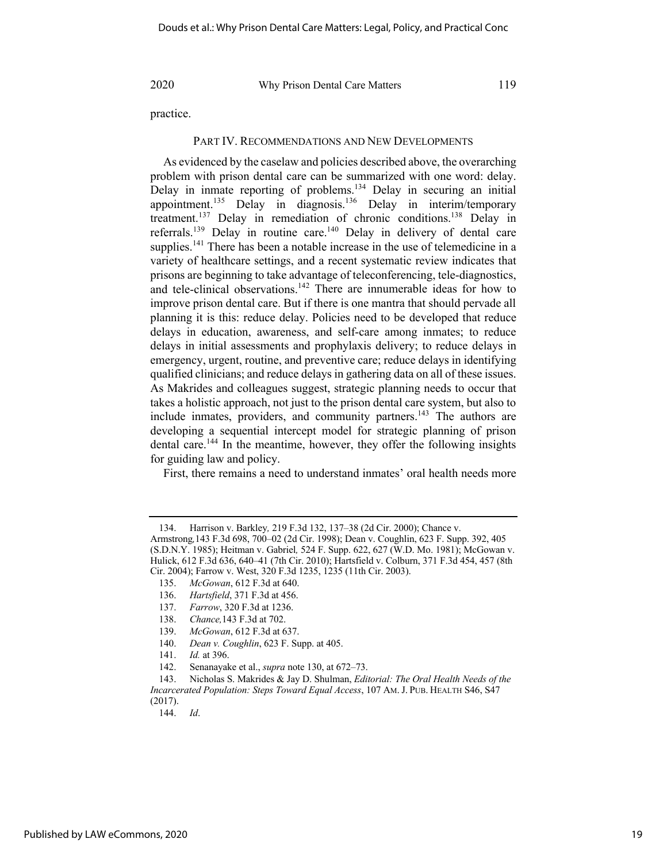practice.

#### PART IV. RECOMMENDATIONS AND NEW DEVELOPMENTS

As evidenced by the caselaw and policies described above, the overarching problem with prison dental care can be summarized with one word: delay. Delay in inmate reporting of problems.<sup>134</sup> Delay in securing an initial appointment.<sup>135</sup> Delay in diagnosis.<sup>136</sup> Delay in interim/temporary treatment.<sup>137</sup> Delay in remediation of chronic conditions.138 Delay in referrals.<sup>139</sup> Delay in routine care.<sup>140</sup> Delay in delivery of dental care supplies.<sup>141</sup> There has been a notable increase in the use of telemedicine in a variety of healthcare settings, and a recent systematic review indicates that prisons are beginning to take advantage of teleconferencing, tele-diagnostics, and tele-clinical observations.<sup>142</sup> There are innumerable ideas for how to improve prison dental care. But if there is one mantra that should pervade all planning it is this: reduce delay. Policies need to be developed that reduce delays in education, awareness, and self-care among inmates; to reduce delays in initial assessments and prophylaxis delivery; to reduce delays in emergency, urgent, routine, and preventive care; reduce delays in identifying qualified clinicians; and reduce delays in gathering data on all of these issues. As Makrides and colleagues suggest, strategic planning needs to occur that takes a holistic approach, not just to the prison dental care system, but also to include inmates, providers, and community partners.<sup>143</sup> The authors are developing a sequential intercept model for strategic planning of prison dental care.<sup>144</sup> In the meantime, however, they offer the following insights for guiding law and policy.

First, there remains a need to understand inmates' oral health needs more

<sup>134.</sup> Harrison v. Barkley*,* 219 F.3d 132, 137–38 (2d Cir. 2000); Chance v. Armstrong*,*143 F.3d 698, 700–02 (2d Cir. 1998); Dean v. Coughlin, 623 F. Supp. 392, 405 (S.D.N.Y. 1985); Heitman v. Gabriel*,* 524 F. Supp. 622, 627 (W.D. Mo. 1981); McGowan v. Hulick, 612 F.3d 636, 640–41 (7th Cir. 2010); Hartsfield v. Colburn, 371 F.3d 454, 457 (8th Cir. 2004); Farrow v. West, 320 F.3d 1235, 1235 (11th Cir. 2003).

<sup>135.</sup> *McGowan*, 612 F.3d at 640.

<sup>136.</sup> *Hartsfield*, 371 F.3d at 456.

<sup>137.</sup> *Farrow*, 320 F.3d at 1236.

<sup>138.</sup> *Chance,*143 F.3d at 702.

<sup>139.</sup> *McGowan*, 612 F.3d at 637.

<sup>140.</sup> *Dean v. Coughlin*, 623 F. Supp. at 405.

<sup>141.</sup> *Id.* at 396.

<sup>142.</sup> Senanayake et al., *supra* note 130, at 672–73.

<sup>143.</sup> Nicholas S. Makrides & Jay D. Shulman, *Editorial: The Oral Health Needs of the Incarcerated Population: Steps Toward Equal Access*, 107 AM.J. PUB. HEALTH S46, S47 (2017).

<sup>144.</sup> *Id*.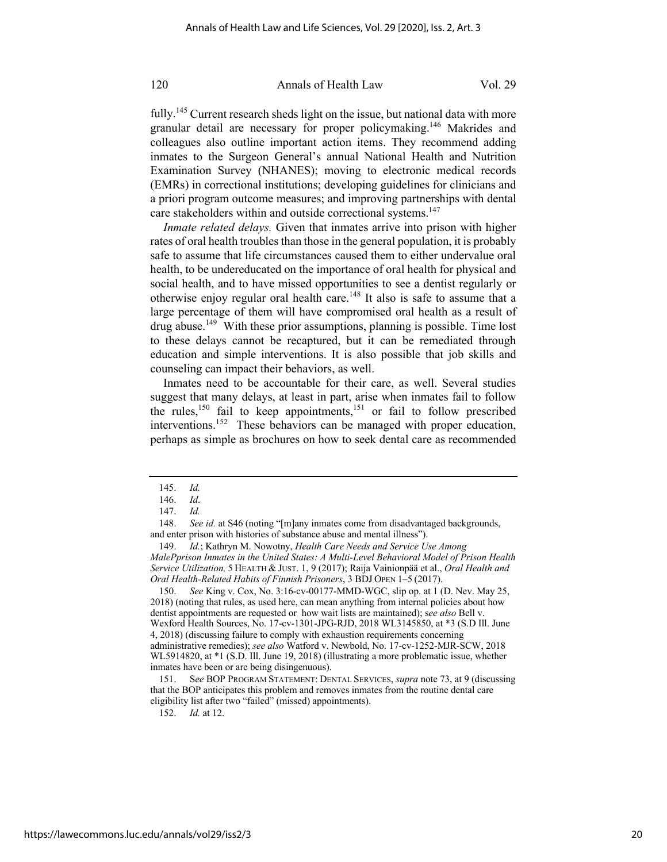$fully$ <sup>145</sup> Current research sheds light on the issue, but national data with more granular detail are necessary for proper policymaking.<sup>146</sup> Makrides and colleagues also outline important action items. They recommend adding inmates to the Surgeon General's annual National Health and Nutrition Examination Survey (NHANES); moving to electronic medical records (EMRs) in correctional institutions; developing guidelines for clinicians and a priori program outcome measures; and improving partnerships with dental care stakeholders within and outside correctional systems.<sup>147</sup>

*Inmate related delays.* Given that inmates arrive into prison with higher rates of oral health troubles than those in the general population, it is probably safe to assume that life circumstances caused them to either undervalue oral health, to be undereducated on the importance of oral health for physical and social health, and to have missed opportunities to see a dentist regularly or otherwise enjoy regular oral health care.<sup>148</sup> It also is safe to assume that a large percentage of them will have compromised oral health as a result of drug abuse.<sup>149</sup> With these prior assumptions, planning is possible. Time lost to these delays cannot be recaptured, but it can be remediated through education and simple interventions. It is also possible that job skills and counseling can impact their behaviors, as well.

Inmates need to be accountable for their care, as well. Several studies suggest that many delays, at least in part, arise when inmates fail to follow the rules,<sup>150</sup> fail to keep appointments,<sup>151</sup> or fail to follow prescribed interventions.<sup>152</sup> These behaviors can be managed with proper education, perhaps as simple as brochures on how to seek dental care as recommended

150. *See* King v. Cox, No. 3:16-cv-00177-MMD-WGC, slip op. at 1 (D. Nev. May 25, 2018) (noting that rules, as used here, can mean anything from internal policies about how dentist appointments are requested or how wait lists are maintained); s*ee also* Bell v. Wexford Health Sources, No. 17-cv-1301-JPG-RJD, 2018 WL3145850, at \*3 (S.D Ill. June 4, 2018) (discussing failure to comply with exhaustion requirements concerning administrative remedies); *see also* Watford v. Newbold, No. 17-cv-1252-MJR-SCW, 2018 WL5914820, at \*1 (S.D. Ill. June 19, 2018) (illustrating a more problematic issue, whether inmates have been or are being disingenuous).

151. S*ee* BOP PROGRAM STATEMENT: DENTAL SERVICES, *supra* note 73, at 9 (discussing that the BOP anticipates this problem and removes inmates from the routine dental care eligibility list after two "failed" (missed) appointments).

152. *Id.* at 12.

<sup>145.</sup> *Id.*

<sup>146.</sup> *Id*.

<sup>147.</sup> *Id.*

<sup>148.</sup> *See id.* at S46 (noting "[m]any inmates come from disadvantaged backgrounds, and enter prison with histories of substance abuse and mental illness").

<sup>149.</sup> *Id.*; Kathryn M. Nowotny, *Health Care Needs and Service Use Among MalePprison Inmates in the United States: A Multi-Level Behavioral Model of Prison Health Service Utilization,* 5 HEALTH & JUST. 1, 9 (2017); Raija Vainionpää et al., *Oral Health and Oral Health-Related Habits of Finnish Prisoners*, 3 BDJ OPEN 1–5 (2017).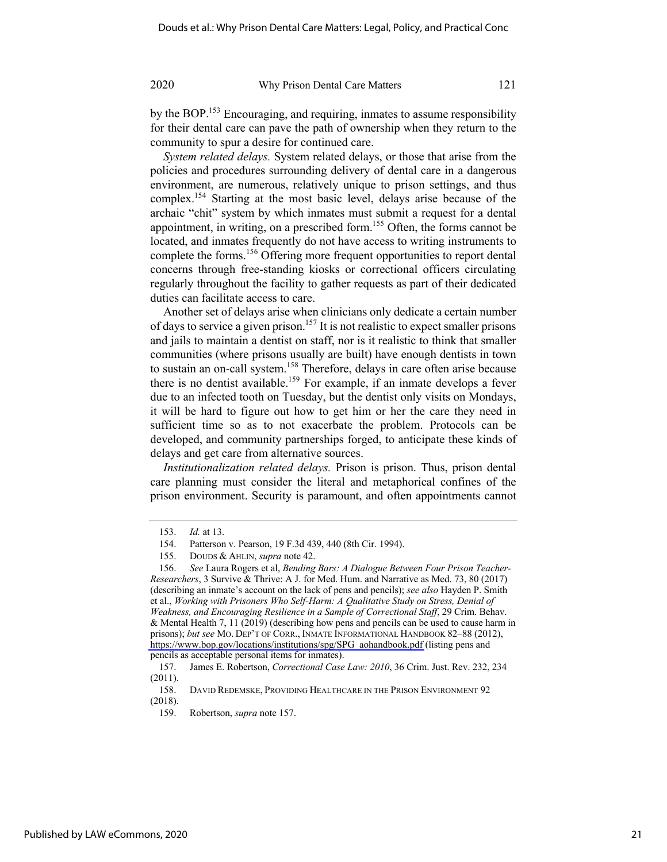by the BOP.<sup>153</sup> Encouraging, and requiring, inmates to assume responsibility for their dental care can pave the path of ownership when they return to the community to spur a desire for continued care.

*System related delays.* System related delays, or those that arise from the policies and procedures surrounding delivery of dental care in a dangerous environment, are numerous, relatively unique to prison settings, and thus complex.154 Starting at the most basic level, delays arise because of the archaic "chit" system by which inmates must submit a request for a dental appointment, in writing, on a prescribed form.<sup>155</sup> Often, the forms cannot be located, and inmates frequently do not have access to writing instruments to complete the forms.<sup>156</sup> Offering more frequent opportunities to report dental concerns through free-standing kiosks or correctional officers circulating regularly throughout the facility to gather requests as part of their dedicated duties can facilitate access to care.

Another set of delays arise when clinicians only dedicate a certain number of days to service a given prison.<sup>157</sup> It is not realistic to expect smaller prisons and jails to maintain a dentist on staff, nor is it realistic to think that smaller communities (where prisons usually are built) have enough dentists in town to sustain an on-call system.<sup>158</sup> Therefore, delays in care often arise because there is no dentist available.159 For example, if an inmate develops a fever due to an infected tooth on Tuesday, but the dentist only visits on Mondays, it will be hard to figure out how to get him or her the care they need in sufficient time so as to not exacerbate the problem. Protocols can be developed, and community partnerships forged, to anticipate these kinds of delays and get care from alternative sources.

*Institutionalization related delays.* Prison is prison. Thus, prison dental care planning must consider the literal and metaphorical confines of the prison environment. Security is paramount, and often appointments cannot

<sup>153.</sup> *Id.* at 13.

<sup>154.</sup> Patterson v. Pearson, 19 F.3d 439, 440 (8th Cir. 1994).

<sup>155.</sup> DOUDS & AHLIN, *supra* note 42.

<sup>156.</sup> *See* Laura Rogers et al, *Bending Bars: A Dialogue Between Four Prison Teacher-Researchers*, 3 Survive & Thrive: A J. for Med. Hum. and Narrative as Med. 73, 80 (2017) (describing an inmate's account on the lack of pens and pencils); *see also* Hayden P. Smith et al., *Working with Prisoners Who Self‐Harm: A Qualitative Study on Stress, Denial of Weakness, and Encouraging Resilience in a Sample of Correctional Staff*, 29 Crim. Behav. & Mental Health 7, 11 (2019) (describing how pens and pencils can be used to cause harm in prisons); *but see* MO. DEP'T OF CORR., INMATE INFORMATIONAL HANDBOOK 82–88 (2012), [https://www.bop.gov/locations/institutions/spg/SPG\\_aohandbook.pdf](https://www.bop.gov/locations/institutions/spg/SPG_aohandbook.pdf) (listing pens and pencils as acceptable personal items for inmates).

<sup>157.</sup> James E. Robertson, *Correctional Case Law: 2010*, 36 Crim. Just. Rev. 232, 234 (2011).

<sup>158.</sup> DAVID REDEMSKE, PROVIDING HEALTHCARE IN THE PRISON ENVIRONMENT 92 (2018).

<sup>159.</sup> Robertson, *supra* note 157.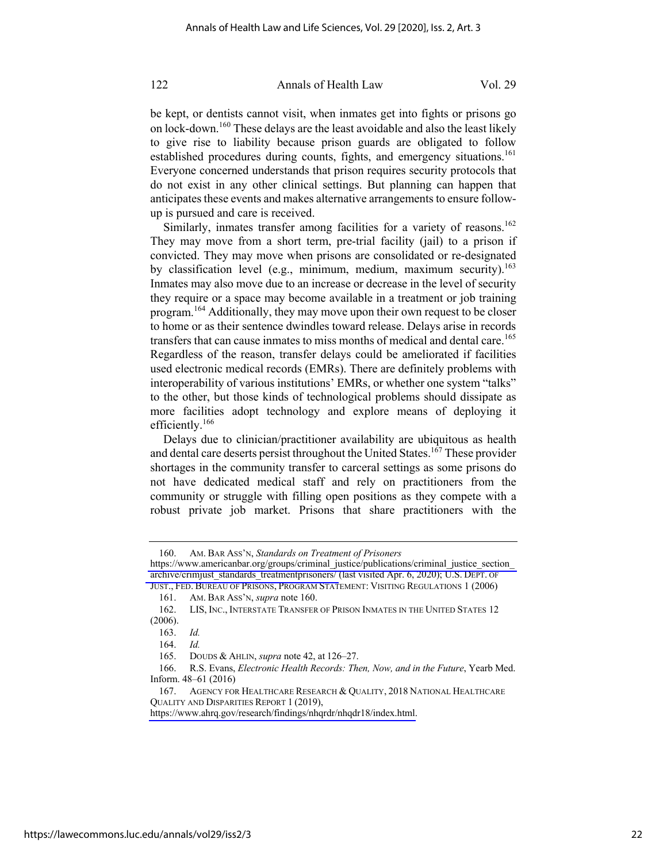be kept, or dentists cannot visit, when inmates get into fights or prisons go on lock-down.160 These delays are the least avoidable and also the least likely to give rise to liability because prison guards are obligated to follow established procedures during counts, fights, and emergency situations.<sup>161</sup> Everyone concerned understands that prison requires security protocols that do not exist in any other clinical settings. But planning can happen that anticipates these events and makes alternative arrangements to ensure followup is pursued and care is received.

Similarly, inmates transfer among facilities for a variety of reasons.<sup>162</sup> They may move from a short term, pre-trial facility (jail) to a prison if convicted. They may move when prisons are consolidated or re-designated by classification level (e.g., minimum, medium, maximum security).<sup>163</sup> Inmates may also move due to an increase or decrease in the level of security they require or a space may become available in a treatment or job training program.<sup>164</sup> Additionally, they may move upon their own request to be closer to home or as their sentence dwindles toward release. Delays arise in records transfers that can cause inmates to miss months of medical and dental care.<sup>165</sup> Regardless of the reason, transfer delays could be ameliorated if facilities used electronic medical records (EMRs). There are definitely problems with interoperability of various institutions' EMRs, or whether one system "talks" to the other, but those kinds of technological problems should dissipate as more facilities adopt technology and explore means of deploying it efficiently.<sup>166</sup>

Delays due to clinician/practitioner availability are ubiquitous as health and dental care deserts persist throughout the United States.<sup>167</sup> These provider shortages in the community transfer to carceral settings as some prisons do not have dedicated medical staff and rely on practitioners from the community or struggle with filling open positions as they compete with a robust private job market. Prisons that share practitioners with the

<sup>160.</sup> AM. BAR ASS'N, *Standards on Treatment of Prisoners*

[https://www.americanbar.org/groups/criminal\\_justice/publications/criminal\\_justice\\_section\\_](https://www.americanbar.org/groups/criminal_justice/publications/criminal_justice_section_archive/crimjust_standards_treatmentprisoners/) [archive/crimjust\\_standards\\_treatmentprisoners/](https://www.americanbar.org/groups/criminal_justice/publications/criminal_justice_section_archive/crimjust_standards_treatmentprisoners/) (last visited Apr. 6, 2020); U.S. DEPT. OF JUST., FED. BUREAU OF PRISONS, PROGRAM STATEMENT: VISITING REGULATIONS 1 (2006)

<sup>161.</sup> AM. BAR ASS'N, *supra* note 160.

<sup>162.</sup> LIS, INC., INTERSTATE TRANSFER OF PRISON INMATES IN THE UNITED STATES 12 (2006).

<sup>163.</sup> *Id.*

<sup>164.</sup> *Id.* 

<sup>165.</sup> DOUDS & AHLIN, *supra* note 42, at 126–27.

<sup>166.</sup> R.S. Evans, *Electronic Health Records: Then, Now, and in the Future*, Yearb Med. Inform. 48–61 (2016)

<sup>167.</sup> AGENCY FOR HEALTHCARE RESEARCH & QUALITY, 2018 NATIONAL HEALTHCARE QUALITY AND DISPARITIES REPORT 1 (2019),

<https://www.ahrq.gov/research/findings/nhqrdr/nhqdr18/index.html.>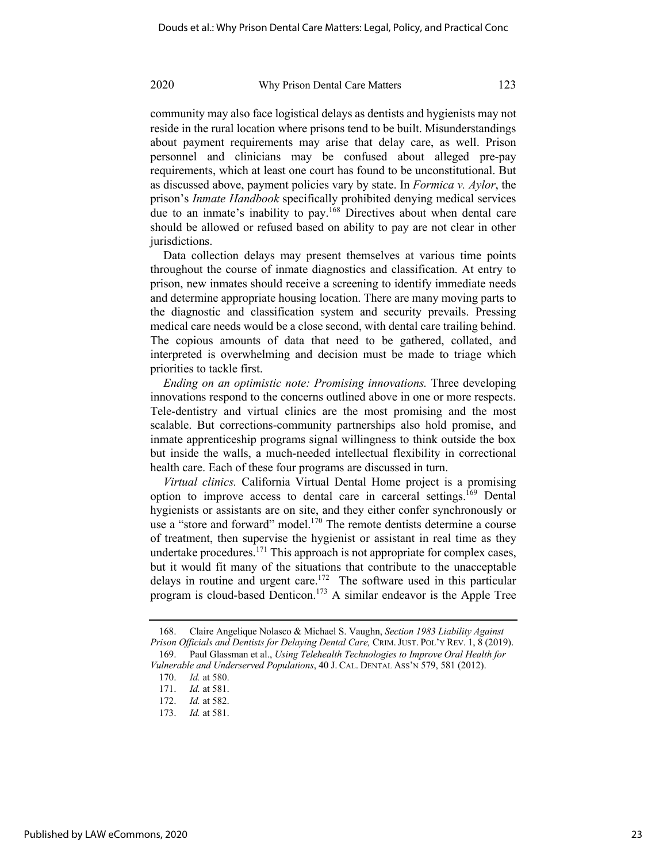community may also face logistical delays as dentists and hygienists may not reside in the rural location where prisons tend to be built. Misunderstandings about payment requirements may arise that delay care, as well. Prison personnel and clinicians may be confused about alleged pre-pay requirements, which at least one court has found to be unconstitutional. But as discussed above, payment policies vary by state. In *Formica v. Aylor*, the prison's *Inmate Handbook* specifically prohibited denying medical services due to an inmate's inability to pay.<sup>168</sup> Directives about when dental care should be allowed or refused based on ability to pay are not clear in other jurisdictions.

Data collection delays may present themselves at various time points throughout the course of inmate diagnostics and classification. At entry to prison, new inmates should receive a screening to identify immediate needs and determine appropriate housing location. There are many moving parts to the diagnostic and classification system and security prevails. Pressing medical care needs would be a close second, with dental care trailing behind. The copious amounts of data that need to be gathered, collated, and interpreted is overwhelming and decision must be made to triage which priorities to tackle first.

*Ending on an optimistic note: Promising innovations.* Three developing innovations respond to the concerns outlined above in one or more respects. Tele-dentistry and virtual clinics are the most promising and the most scalable. But corrections-community partnerships also hold promise, and inmate apprenticeship programs signal willingness to think outside the box but inside the walls, a much-needed intellectual flexibility in correctional health care. Each of these four programs are discussed in turn.

*Virtual clinics.* California Virtual Dental Home project is a promising option to improve access to dental care in carceral settings.<sup>169</sup> Dental hygienists or assistants are on site, and they either confer synchronously or use a "store and forward" model.<sup>170</sup> The remote dentists determine a course of treatment, then supervise the hygienist or assistant in real time as they undertake procedures.<sup>171</sup> This approach is not appropriate for complex cases, but it would fit many of the situations that contribute to the unacceptable delays in routine and urgent care.<sup>172</sup> The software used in this particular program is cloud-based Denticon.<sup>173</sup> A similar endeavor is the Apple Tree

<sup>168.</sup> Claire Angelique Nolasco & Michael S. Vaughn, *Section 1983 Liability Against Prison Officials and Dentists for Delaying Dental Care,* CRIM.JUST. POL'Y REV. 1, 8 (2019). 169. Paul Glassman et al., *Using Telehealth Technologies to Improve Oral Health for* 

*Vulnerable and Underserved Populations*, 40 J. CAL. DENTAL ASS'N 579, 581 (2012).

<sup>170.</sup> *Id.* at 580.

<sup>171.</sup> *Id.* at 581.

<sup>172.</sup> *Id.* at 582.

<sup>173.</sup> *Id.* at 581.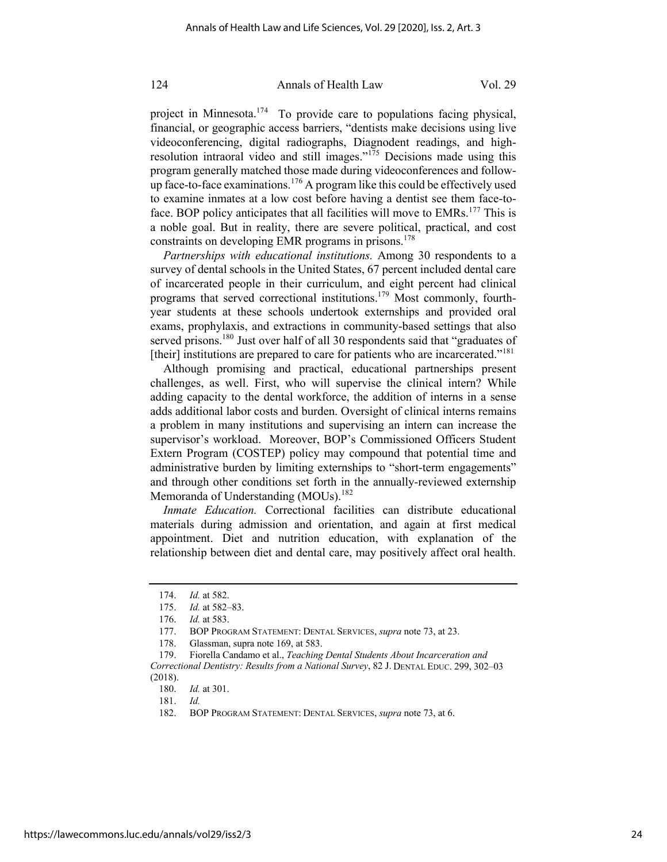project in Minnesota.<sup>174</sup> To provide care to populations facing physical, financial, or geographic access barriers, "dentists make decisions using live videoconferencing, digital radiographs, Diagnodent readings, and highresolution intraoral video and still images."<sup>175</sup> Decisions made using this program generally matched those made during videoconferences and followup face-to-face examinations.<sup>176</sup> A program like this could be effectively used to examine inmates at a low cost before having a dentist see them face-toface. BOP policy anticipates that all facilities will move to  $EMRs.$ <sup>177</sup> This is a noble goal. But in reality, there are severe political, practical, and cost constraints on developing EMR programs in prisons.178

*Partnerships with educational institutions.* Among 30 respondents to a survey of dental schools in the United States, 67 percent included dental care of incarcerated people in their curriculum, and eight percent had clinical programs that served correctional institutions.179 Most commonly, fourthyear students at these schools undertook externships and provided oral exams, prophylaxis, and extractions in community-based settings that also served prisons.<sup>180</sup> Just over half of all 30 respondents said that "graduates of [their] institutions are prepared to care for patients who are incarcerated."<sup>181</sup>

Although promising and practical, educational partnerships present challenges, as well. First, who will supervise the clinical intern? While adding capacity to the dental workforce, the addition of interns in a sense adds additional labor costs and burden. Oversight of clinical interns remains a problem in many institutions and supervising an intern can increase the supervisor's workload. Moreover, BOP's Commissioned Officers Student Extern Program (COSTEP) policy may compound that potential time and administrative burden by limiting externships to "short-term engagements" and through other conditions set forth in the annually-reviewed externship Memoranda of Understanding (MOUs).<sup>182</sup>

*Inmate Education.* Correctional facilities can distribute educational materials during admission and orientation, and again at first medical appointment. Diet and nutrition education, with explanation of the relationship between diet and dental care, may positively affect oral health.

181. *Id.*

<sup>174.</sup> *Id.* at 582.

<sup>175.</sup> *Id.* at 582–83.

<sup>176.</sup> *Id.* at 583.

<sup>177.</sup> BOP PROGRAM STATEMENT: DENTAL SERVICES, *supra* note 73, at 23.

<sup>178.</sup> Glassman, supra note 169, at 583.

<sup>179.</sup> Fiorella Candamo et al., *Teaching Dental Students About Incarceration and Correctional Dentistry: Results from a National Survey*, 82 J. DENTAL EDUC. 299, 302–03 (2018).

<sup>180.</sup> *Id.* at 301.

<sup>182.</sup> BOP PROGRAM STATEMENT: DENTAL SERVICES, *supra* note 73, at 6.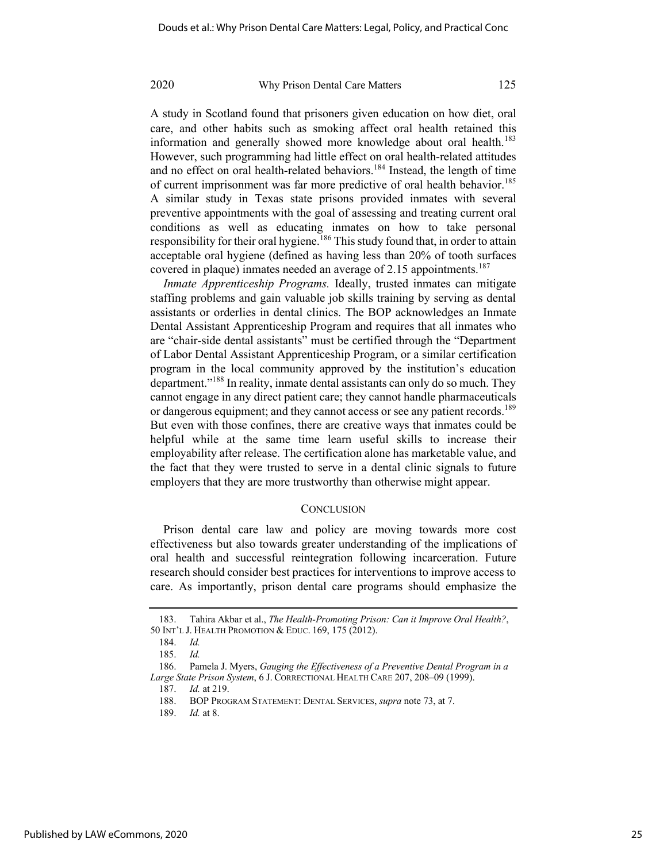A study in Scotland found that prisoners given education on how diet, oral care, and other habits such as smoking affect oral health retained this information and generally showed more knowledge about oral health.<sup>183</sup> However, such programming had little effect on oral health-related attitudes and no effect on oral health-related behaviors.<sup>184</sup> Instead, the length of time of current imprisonment was far more predictive of oral health behavior.<sup>185</sup> A similar study in Texas state prisons provided inmates with several preventive appointments with the goal of assessing and treating current oral conditions as well as educating inmates on how to take personal responsibility for their oral hygiene.<sup>186</sup> This study found that, in order to attain acceptable oral hygiene (defined as having less than 20% of tooth surfaces covered in plaque) inmates needed an average of 2.15 appointments.<sup>187</sup>

*Inmate Apprenticeship Programs.* Ideally, trusted inmates can mitigate staffing problems and gain valuable job skills training by serving as dental assistants or orderlies in dental clinics. The BOP acknowledges an Inmate Dental Assistant Apprenticeship Program and requires that all inmates who are "chair-side dental assistants" must be certified through the "Department of Labor Dental Assistant Apprenticeship Program, or a similar certification program in the local community approved by the institution's education department."188 In reality, inmate dental assistants can only do so much. They cannot engage in any direct patient care; they cannot handle pharmaceuticals or dangerous equipment; and they cannot access or see any patient records.<sup>189</sup> But even with those confines, there are creative ways that inmates could be helpful while at the same time learn useful skills to increase their employability after release. The certification alone has marketable value, and the fact that they were trusted to serve in a dental clinic signals to future employers that they are more trustworthy than otherwise might appear.

#### **CONCLUSION**

Prison dental care law and policy are moving towards more cost effectiveness but also towards greater understanding of the implications of oral health and successful reintegration following incarceration. Future research should consider best practices for interventions to improve access to care. As importantly, prison dental care programs should emphasize the

<sup>183.</sup> Tahira Akbar et al., *The Health-Promoting Prison: Can it Improve Oral Health?*, 50 INT'L J. HEALTH PROMOTION & EDUC. 169, 175 (2012).

<sup>184.</sup> *Id.*

<sup>185.</sup> *Id.*

<sup>186.</sup> Pamela J. Myers, *Gauging the Effectiveness of a Preventive Dental Program in a Large State Prison System*, 6 J. CORRECTIONAL HEALTH CARE 207, 208–09 (1999).

<sup>187.</sup> *Id.* at 219.

<sup>188.</sup> BOP PROGRAM STATEMENT: DENTAL SERVICES, *supra* note 73, at 7.

<sup>189.</sup> *Id.* at 8.